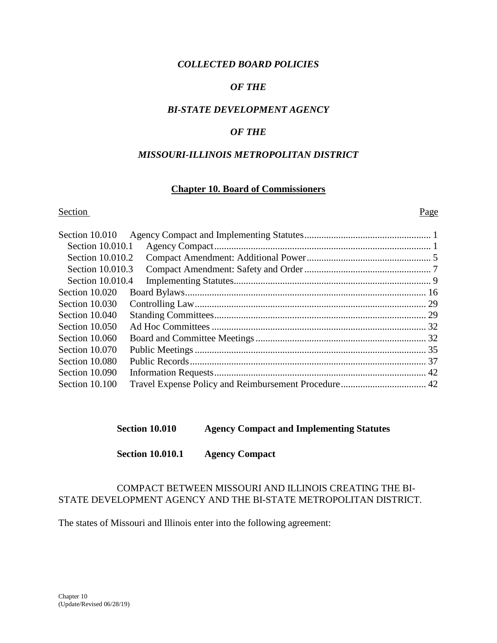#### *COLLECTED BOARD POLICIES*

#### *OF THE*

#### *BI-STATE DEVELOPMENT AGENCY*

#### *OF THE*

#### *MISSOURI-ILLINOIS METROPOLITAN DISTRICT*

#### **Chapter 10. Board of Commissioners**

#### Section Page

| Section 10.010   |  |
|------------------|--|
| Section 10.010.1 |  |
| Section 10.010.2 |  |
| Section 10.010.3 |  |
| Section 10.010.4 |  |
| Section 10.020   |  |
| Section 10.030   |  |
| Section 10.040   |  |
| Section 10.050   |  |
| Section 10.060   |  |
| Section 10.070   |  |
| Section 10.080   |  |
| Section 10.090   |  |
| Section 10.100   |  |

#### **Section 10.010 Agency Compact and Implementing Statutes**

**Section 10.010.1 Agency Compact**

# COMPACT BETWEEN MISSOURI AND ILLINOIS CREATING THE BI-STATE DEVELOPMENT AGENCY AND THE BI-STATE METROPOLITAN DISTRICT.

The states of Missouri and Illinois enter into the following agreement: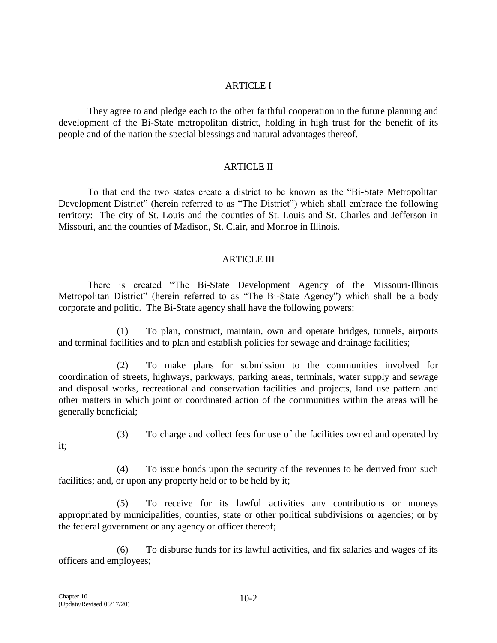#### ARTICLE I

They agree to and pledge each to the other faithful cooperation in the future planning and development of the Bi-State metropolitan district, holding in high trust for the benefit of its people and of the nation the special blessings and natural advantages thereof.

#### ARTICLE II

To that end the two states create a district to be known as the "Bi-State Metropolitan Development District" (herein referred to as "The District") which shall embrace the following territory: The city of St. Louis and the counties of St. Louis and St. Charles and Jefferson in Missouri, and the counties of Madison, St. Clair, and Monroe in Illinois.

#### ARTICLE III

There is created "The Bi-State Development Agency of the Missouri-Illinois Metropolitan District" (herein referred to as "The Bi-State Agency") which shall be a body corporate and politic. The Bi-State agency shall have the following powers:

(1) To plan, construct, maintain, own and operate bridges, tunnels, airports and terminal facilities and to plan and establish policies for sewage and drainage facilities;

(2) To make plans for submission to the communities involved for coordination of streets, highways, parkways, parking areas, terminals, water supply and sewage and disposal works, recreational and conservation facilities and projects, land use pattern and other matters in which joint or coordinated action of the communities within the areas will be generally beneficial;

- it;
- (3) To charge and collect fees for use of the facilities owned and operated by

(4) To issue bonds upon the security of the revenues to be derived from such facilities; and, or upon any property held or to be held by it;

(5) To receive for its lawful activities any contributions or moneys appropriated by municipalities, counties, state or other political subdivisions or agencies; or by the federal government or any agency or officer thereof;

(6) To disburse funds for its lawful activities, and fix salaries and wages of its officers and employees;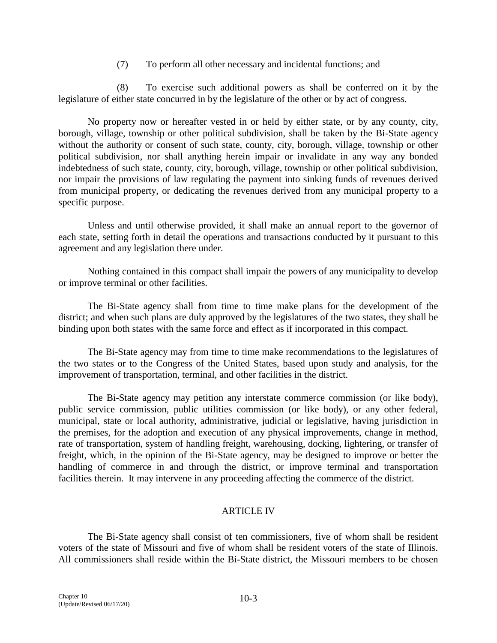(7) To perform all other necessary and incidental functions; and

(8) To exercise such additional powers as shall be conferred on it by the legislature of either state concurred in by the legislature of the other or by act of congress.

No property now or hereafter vested in or held by either state, or by any county, city, borough, village, township or other political subdivision, shall be taken by the Bi-State agency without the authority or consent of such state, county, city, borough, village, township or other political subdivision, nor shall anything herein impair or invalidate in any way any bonded indebtedness of such state, county, city, borough, village, township or other political subdivision, nor impair the provisions of law regulating the payment into sinking funds of revenues derived from municipal property, or dedicating the revenues derived from any municipal property to a specific purpose.

Unless and until otherwise provided, it shall make an annual report to the governor of each state, setting forth in detail the operations and transactions conducted by it pursuant to this agreement and any legislation there under.

Nothing contained in this compact shall impair the powers of any municipality to develop or improve terminal or other facilities.

The Bi-State agency shall from time to time make plans for the development of the district; and when such plans are duly approved by the legislatures of the two states, they shall be binding upon both states with the same force and effect as if incorporated in this compact.

The Bi-State agency may from time to time make recommendations to the legislatures of the two states or to the Congress of the United States, based upon study and analysis, for the improvement of transportation, terminal, and other facilities in the district.

The Bi-State agency may petition any interstate commerce commission (or like body), public service commission, public utilities commission (or like body), or any other federal, municipal, state or local authority, administrative, judicial or legislative, having jurisdiction in the premises, for the adoption and execution of any physical improvements, change in method, rate of transportation, system of handling freight, warehousing, docking, lightering, or transfer of freight, which, in the opinion of the Bi-State agency, may be designed to improve or better the handling of commerce in and through the district, or improve terminal and transportation facilities therein. It may intervene in any proceeding affecting the commerce of the district.

# ARTICLE IV

The Bi-State agency shall consist of ten commissioners, five of whom shall be resident voters of the state of Missouri and five of whom shall be resident voters of the state of Illinois. All commissioners shall reside within the Bi-State district, the Missouri members to be chosen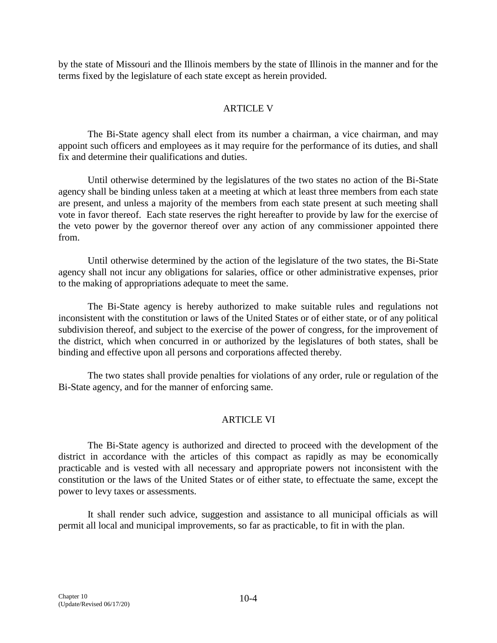by the state of Missouri and the Illinois members by the state of Illinois in the manner and for the terms fixed by the legislature of each state except as herein provided.

## ARTICLE V

The Bi-State agency shall elect from its number a chairman, a vice chairman, and may appoint such officers and employees as it may require for the performance of its duties, and shall fix and determine their qualifications and duties.

Until otherwise determined by the legislatures of the two states no action of the Bi-State agency shall be binding unless taken at a meeting at which at least three members from each state are present, and unless a majority of the members from each state present at such meeting shall vote in favor thereof. Each state reserves the right hereafter to provide by law for the exercise of the veto power by the governor thereof over any action of any commissioner appointed there from.

Until otherwise determined by the action of the legislature of the two states, the Bi-State agency shall not incur any obligations for salaries, office or other administrative expenses, prior to the making of appropriations adequate to meet the same.

The Bi-State agency is hereby authorized to make suitable rules and regulations not inconsistent with the constitution or laws of the United States or of either state, or of any political subdivision thereof, and subject to the exercise of the power of congress, for the improvement of the district, which when concurred in or authorized by the legislatures of both states, shall be binding and effective upon all persons and corporations affected thereby.

The two states shall provide penalties for violations of any order, rule or regulation of the Bi-State agency, and for the manner of enforcing same.

# ARTICLE VI

The Bi-State agency is authorized and directed to proceed with the development of the district in accordance with the articles of this compact as rapidly as may be economically practicable and is vested with all necessary and appropriate powers not inconsistent with the constitution or the laws of the United States or of either state, to effectuate the same, except the power to levy taxes or assessments.

It shall render such advice, suggestion and assistance to all municipal officials as will permit all local and municipal improvements, so far as practicable, to fit in with the plan.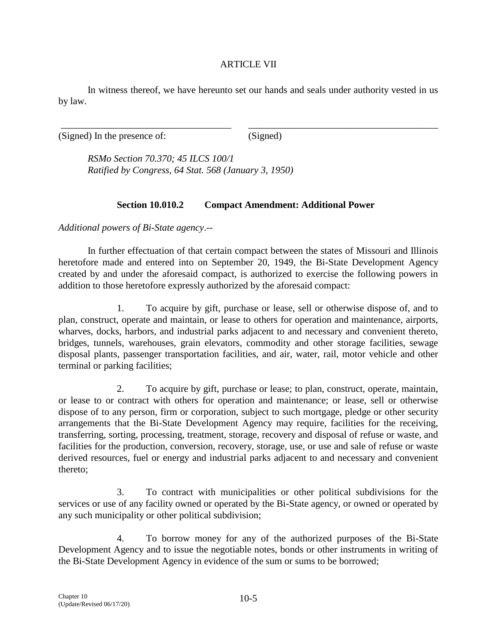#### ARTICLE VII

In witness thereof, we have hereunto set our hands and seals under authority vested in us by law.

\_\_\_\_\_\_\_\_\_\_\_\_\_\_\_\_\_\_\_\_\_\_\_\_\_\_\_\_\_\_\_\_\_\_\_ \_\_\_\_\_\_\_\_\_\_\_\_\_\_\_\_\_\_\_\_\_\_\_\_\_\_\_\_\_\_\_\_\_\_\_\_\_\_\_

(Signed) In the presence of: (Signed)

*RSMo Section 70.370; 45 ILCS 100/1 Ratified by Congress, 64 Stat. 568 (January 3, 1950)*

# **Section 10.010.2 Compact Amendment: Additional Power**

*Additional powers of Bi-State agency*.--

In further effectuation of that certain compact between the states of Missouri and Illinois heretofore made and entered into on September 20, 1949, the Bi-State Development Agency created by and under the aforesaid compact, is authorized to exercise the following powers in addition to those heretofore expressly authorized by the aforesaid compact:

1. To acquire by gift, purchase or lease, sell or otherwise dispose of, and to plan, construct, operate and maintain, or lease to others for operation and maintenance, airports, wharves, docks, harbors, and industrial parks adjacent to and necessary and convenient thereto, bridges, tunnels, warehouses, grain elevators, commodity and other storage facilities, sewage disposal plants, passenger transportation facilities, and air, water, rail, motor vehicle and other terminal or parking facilities;

2. To acquire by gift, purchase or lease; to plan, construct, operate, maintain, or lease to or contract with others for operation and maintenance; or lease, sell or otherwise dispose of to any person, firm or corporation, subject to such mortgage, pledge or other security arrangements that the Bi-State Development Agency may require, facilities for the receiving, transferring, sorting, processing, treatment, storage, recovery and disposal of refuse or waste, and facilities for the production, conversion, recovery, storage, use, or use and sale of refuse or waste derived resources, fuel or energy and industrial parks adjacent to and necessary and convenient thereto;

3. To contract with municipalities or other political subdivisions for the services or use of any facility owned or operated by the Bi-State agency, or owned or operated by any such municipality or other political subdivision;

4. To borrow money for any of the authorized purposes of the Bi-State Development Agency and to issue the negotiable notes, bonds or other instruments in writing of the Bi-State Development Agency in evidence of the sum or sums to be borrowed;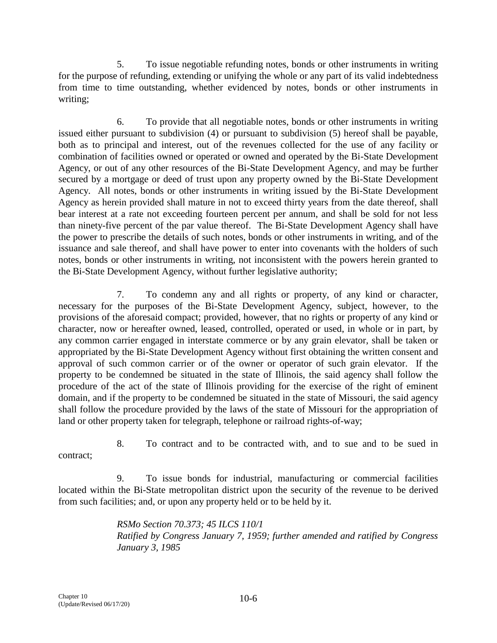5. To issue negotiable refunding notes, bonds or other instruments in writing for the purpose of refunding, extending or unifying the whole or any part of its valid indebtedness from time to time outstanding, whether evidenced by notes, bonds or other instruments in writing;

6. To provide that all negotiable notes, bonds or other instruments in writing issued either pursuant to subdivision (4) or pursuant to subdivision (5) hereof shall be payable, both as to principal and interest, out of the revenues collected for the use of any facility or combination of facilities owned or operated or owned and operated by the Bi-State Development Agency, or out of any other resources of the Bi-State Development Agency, and may be further secured by a mortgage or deed of trust upon any property owned by the Bi-State Development Agency. All notes, bonds or other instruments in writing issued by the Bi-State Development Agency as herein provided shall mature in not to exceed thirty years from the date thereof, shall bear interest at a rate not exceeding fourteen percent per annum, and shall be sold for not less than ninety-five percent of the par value thereof. The Bi-State Development Agency shall have the power to prescribe the details of such notes, bonds or other instruments in writing, and of the issuance and sale thereof, and shall have power to enter into covenants with the holders of such notes, bonds or other instruments in writing, not inconsistent with the powers herein granted to the Bi-State Development Agency, without further legislative authority;

7. To condemn any and all rights or property, of any kind or character, necessary for the purposes of the Bi-State Development Agency, subject, however, to the provisions of the aforesaid compact; provided, however, that no rights or property of any kind or character, now or hereafter owned, leased, controlled, operated or used, in whole or in part, by any common carrier engaged in interstate commerce or by any grain elevator, shall be taken or appropriated by the Bi-State Development Agency without first obtaining the written consent and approval of such common carrier or of the owner or operator of such grain elevator. If the property to be condemned be situated in the state of Illinois, the said agency shall follow the procedure of the act of the state of Illinois providing for the exercise of the right of eminent domain, and if the property to be condemned be situated in the state of Missouri, the said agency shall follow the procedure provided by the laws of the state of Missouri for the appropriation of land or other property taken for telegraph, telephone or railroad rights-of-way;

contract;

8. To contract and to be contracted with, and to sue and to be sued in

9. To issue bonds for industrial, manufacturing or commercial facilities located within the Bi-State metropolitan district upon the security of the revenue to be derived from such facilities; and, or upon any property held or to be held by it.

> *RSMo Section 70.373; 45 ILCS 110/1 Ratified by Congress January 7, 1959; further amended and ratified by Congress January 3, 1985*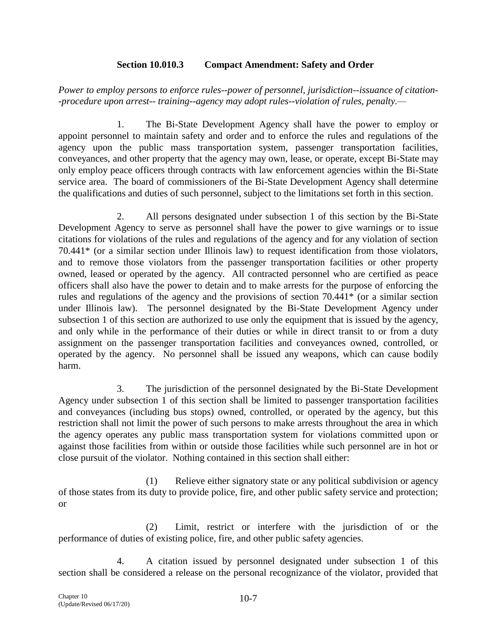### **Section 10.010.3 Compact Amendment: Safety and Order**

*Power to employ persons to enforce rules--power of personnel, jurisdiction--issuance of citation- -procedure upon arrest-- training--agency may adopt rules--violation of rules, penalty.—*

1. The Bi-State Development Agency shall have the power to employ or appoint personnel to maintain safety and order and to enforce the rules and regulations of the agency upon the public mass transportation system, passenger transportation facilities, conveyances, and other property that the agency may own, lease, or operate, except Bi-State may only employ peace officers through contracts with law enforcement agencies within the Bi-State service area. The board of commissioners of the Bi-State Development Agency shall determine the qualifications and duties of such personnel, subject to the limitations set forth in this section.

2. All persons designated under subsection 1 of this section by the Bi-State Development Agency to serve as personnel shall have the power to give warnings or to issue citations for violations of the rules and regulations of the agency and for any violation of section 70.441\* (or a similar section under Illinois law) to request identification from those violators, and to remove those violators from the passenger transportation facilities or other property owned, leased or operated by the agency. All contracted personnel who are certified as peace officers shall also have the power to detain and to make arrests for the purpose of enforcing the rules and regulations of the agency and the provisions of section 70.441\* (or a similar section under Illinois law). The personnel designated by the Bi-State Development Agency under subsection 1 of this section are authorized to use only the equipment that is issued by the agency, and only while in the performance of their duties or while in direct transit to or from a duty assignment on the passenger transportation facilities and conveyances owned, controlled, or operated by the agency. No personnel shall be issued any weapons, which can cause bodily harm.

3. The jurisdiction of the personnel designated by the Bi-State Development Agency under subsection 1 of this section shall be limited to passenger transportation facilities and conveyances (including bus stops) owned, controlled, or operated by the agency, but this restriction shall not limit the power of such persons to make arrests throughout the area in which the agency operates any public mass transportation system for violations committed upon or against those facilities from within or outside those facilities while such personnel are in hot or close pursuit of the violator. Nothing contained in this section shall either:

(1) Relieve either signatory state or any political subdivision or agency of those states from its duty to provide police, fire, and other public safety service and protection; or

(2) Limit, restrict or interfere with the jurisdiction of or the performance of duties of existing police, fire, and other public safety agencies.

4. A citation issued by personnel designated under subsection 1 of this section shall be considered a release on the personal recognizance of the violator, provided that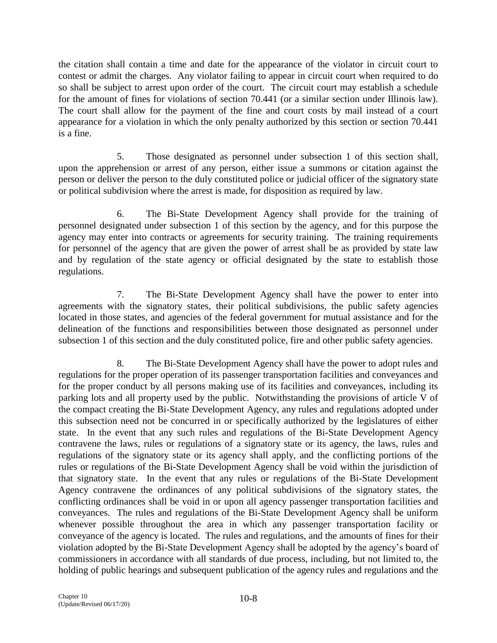the citation shall contain a time and date for the appearance of the violator in circuit court to contest or admit the charges. Any violator failing to appear in circuit court when required to do so shall be subject to arrest upon order of the court. The circuit court may establish a schedule for the amount of fines for violations of section 70.441 (or a similar section under Illinois law). The court shall allow for the payment of the fine and court costs by mail instead of a court appearance for a violation in which the only penalty authorized by this section or section 70.441 is a fine.

5. Those designated as personnel under subsection 1 of this section shall, upon the apprehension or arrest of any person, either issue a summons or citation against the person or deliver the person to the duly constituted police or judicial officer of the signatory state or political subdivision where the arrest is made, for disposition as required by law.

6. The Bi-State Development Agency shall provide for the training of personnel designated under subsection 1 of this section by the agency, and for this purpose the agency may enter into contracts or agreements for security training. The training requirements for personnel of the agency that are given the power of arrest shall be as provided by state law and by regulation of the state agency or official designated by the state to establish those regulations.

7. The Bi-State Development Agency shall have the power to enter into agreements with the signatory states, their political subdivisions, the public safety agencies located in those states, and agencies of the federal government for mutual assistance and for the delineation of the functions and responsibilities between those designated as personnel under subsection 1 of this section and the duly constituted police, fire and other public safety agencies.

8. The Bi-State Development Agency shall have the power to adopt rules and regulations for the proper operation of its passenger transportation facilities and conveyances and for the proper conduct by all persons making use of its facilities and conveyances, including its parking lots and all property used by the public. Notwithstanding the provisions of article V of the compact creating the Bi-State Development Agency, any rules and regulations adopted under this subsection need not be concurred in or specifically authorized by the legislatures of either state. In the event that any such rules and regulations of the Bi-State Development Agency contravene the laws, rules or regulations of a signatory state or its agency, the laws, rules and regulations of the signatory state or its agency shall apply, and the conflicting portions of the rules or regulations of the Bi-State Development Agency shall be void within the jurisdiction of that signatory state. In the event that any rules or regulations of the Bi-State Development Agency contravene the ordinances of any political subdivisions of the signatory states, the conflicting ordinances shall be void in or upon all agency passenger transportation facilities and conveyances. The rules and regulations of the Bi-State Development Agency shall be uniform whenever possible throughout the area in which any passenger transportation facility or conveyance of the agency is located. The rules and regulations, and the amounts of fines for their violation adopted by the Bi-State Development Agency shall be adopted by the agency's board of commissioners in accordance with all standards of due process, including, but not limited to, the holding of public hearings and subsequent publication of the agency rules and regulations and the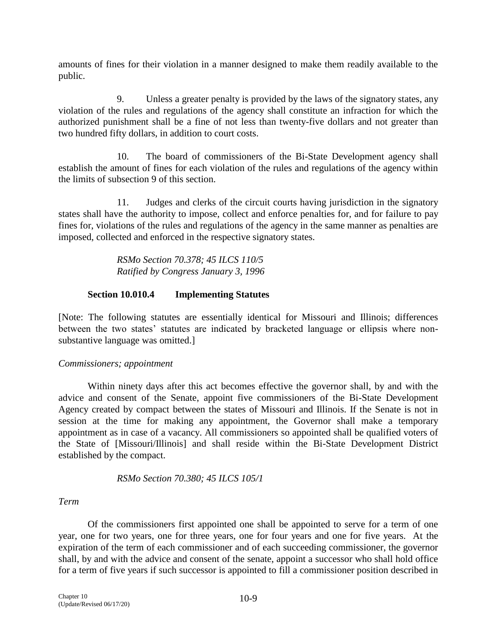amounts of fines for their violation in a manner designed to make them readily available to the public.

9. Unless a greater penalty is provided by the laws of the signatory states, any violation of the rules and regulations of the agency shall constitute an infraction for which the authorized punishment shall be a fine of not less than twenty-five dollars and not greater than two hundred fifty dollars, in addition to court costs.

10. The board of commissioners of the Bi-State Development agency shall establish the amount of fines for each violation of the rules and regulations of the agency within the limits of subsection 9 of this section.

11. Judges and clerks of the circuit courts having jurisdiction in the signatory states shall have the authority to impose, collect and enforce penalties for, and for failure to pay fines for, violations of the rules and regulations of the agency in the same manner as penalties are imposed, collected and enforced in the respective signatory states.

> *RSMo Section 70.378; 45 ILCS 110/5 Ratified by Congress January 3, 1996*

### **Section 10.010.4 Implementing Statutes**

[Note: The following statutes are essentially identical for Missouri and Illinois; differences between the two states' statutes are indicated by bracketed language or ellipsis where nonsubstantive language was omitted.]

#### *Commissioners; appointment*

Within ninety days after this act becomes effective the governor shall, by and with the advice and consent of the Senate, appoint five commissioners of the Bi-State Development Agency created by compact between the states of Missouri and Illinois. If the Senate is not in session at the time for making any appointment, the Governor shall make a temporary appointment as in case of a vacancy. All commissioners so appointed shall be qualified voters of the State of [Missouri/Illinois] and shall reside within the Bi-State Development District established by the compact.

*RSMo Section 70.380; 45 ILCS 105/1*

# *Term*

Of the commissioners first appointed one shall be appointed to serve for a term of one year, one for two years, one for three years, one for four years and one for five years. At the expiration of the term of each commissioner and of each succeeding commissioner, the governor shall, by and with the advice and consent of the senate, appoint a successor who shall hold office for a term of five years if such successor is appointed to fill a commissioner position described in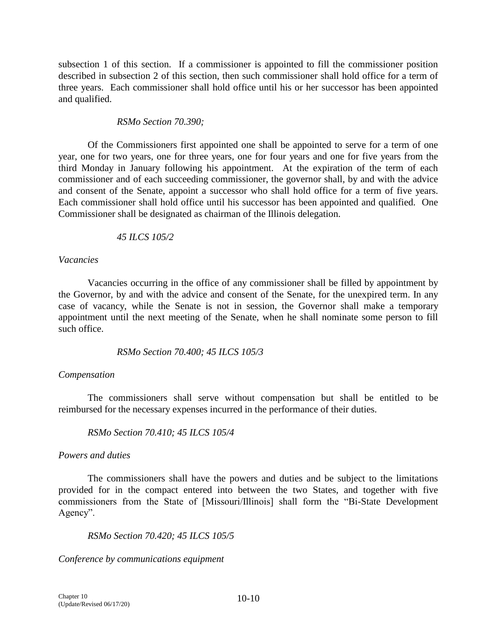subsection 1 of this section. If a commissioner is appointed to fill the commissioner position described in subsection 2 of this section, then such commissioner shall hold office for a term of three years. Each commissioner shall hold office until his or her successor has been appointed and qualified.

### *RSMo Section 70.390;*

Of the Commissioners first appointed one shall be appointed to serve for a term of one year, one for two years, one for three years, one for four years and one for five years from the third Monday in January following his appointment. At the expiration of the term of each commissioner and of each succeeding commissioner, the governor shall, by and with the advice and consent of the Senate, appoint a successor who shall hold office for a term of five years. Each commissioner shall hold office until his successor has been appointed and qualified. One Commissioner shall be designated as chairman of the Illinois delegation.

### *45 ILCS 105/2*

#### *Vacancies*

Vacancies occurring in the office of any commissioner shall be filled by appointment by the Governor, by and with the advice and consent of the Senate, for the unexpired term. In any case of vacancy, while the Senate is not in session, the Governor shall make a temporary appointment until the next meeting of the Senate, when he shall nominate some person to fill such office.

#### *RSMo Section 70.400; 45 ILCS 105/3*

#### *Compensation*

The commissioners shall serve without compensation but shall be entitled to be reimbursed for the necessary expenses incurred in the performance of their duties.

#### *RSMo Section 70.410; 45 ILCS 105/4*

#### *Powers and duties*

The commissioners shall have the powers and duties and be subject to the limitations provided for in the compact entered into between the two States, and together with five commissioners from the State of [Missouri/Illinois] shall form the "Bi-State Development Agency".

#### *RSMo Section 70.420; 45 ILCS 105/5*

*Conference by communications equipment*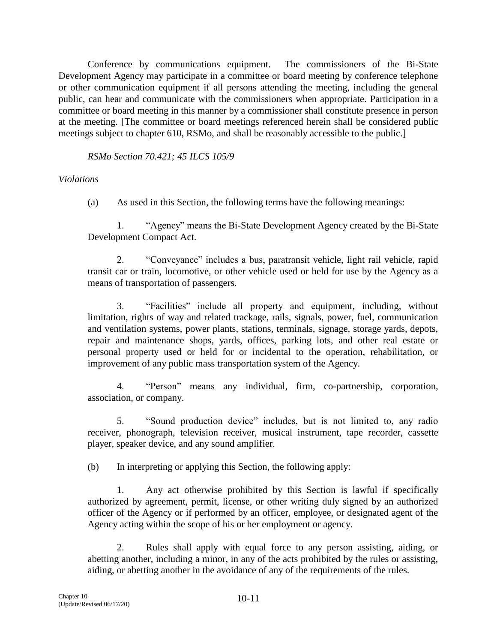Conference by communications equipment. The commissioners of the Bi-State Development Agency may participate in a committee or board meeting by conference telephone or other communication equipment if all persons attending the meeting, including the general public, can hear and communicate with the commissioners when appropriate. Participation in a committee or board meeting in this manner by a commissioner shall constitute presence in person at the meeting. [The committee or board meetings referenced herein shall be considered public meetings subject to chapter 610, RSMo, and shall be reasonably accessible to the public.]

*RSMo Section 70.421; 45 ILCS 105/9*

*Violations*

(a) As used in this Section, the following terms have the following meanings:

1. "Agency" means the Bi-State Development Agency created by the Bi-State Development Compact Act.

2. "Conveyance" includes a bus, paratransit vehicle, light rail vehicle, rapid transit car or train, locomotive, or other vehicle used or held for use by the Agency as a means of transportation of passengers.

3. "Facilities" include all property and equipment, including, without limitation, rights of way and related trackage, rails, signals, power, fuel, communication and ventilation systems, power plants, stations, terminals, signage, storage yards, depots, repair and maintenance shops, yards, offices, parking lots, and other real estate or personal property used or held for or incidental to the operation, rehabilitation, or improvement of any public mass transportation system of the Agency.

4. "Person" means any individual, firm, co-partnership, corporation, association, or company.

5. "Sound production device" includes, but is not limited to, any radio receiver, phonograph, television receiver, musical instrument, tape recorder, cassette player, speaker device, and any sound amplifier.

(b) In interpreting or applying this Section, the following apply:

1. Any act otherwise prohibited by this Section is lawful if specifically authorized by agreement, permit, license, or other writing duly signed by an authorized officer of the Agency or if performed by an officer, employee, or designated agent of the Agency acting within the scope of his or her employment or agency.

2. Rules shall apply with equal force to any person assisting, aiding, or abetting another, including a minor, in any of the acts prohibited by the rules or assisting, aiding, or abetting another in the avoidance of any of the requirements of the rules.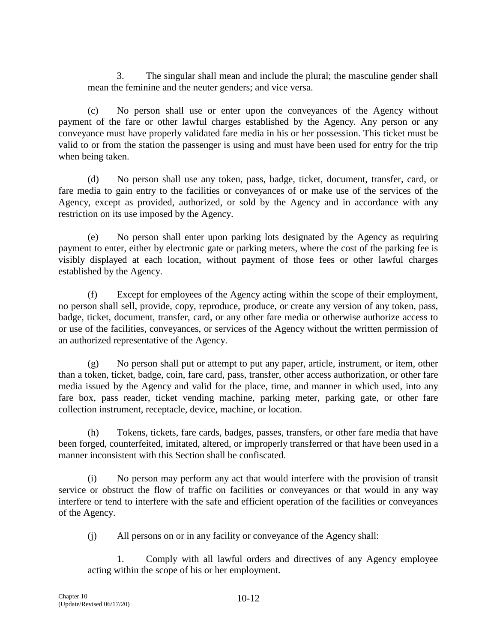3. The singular shall mean and include the plural; the masculine gender shall mean the feminine and the neuter genders; and vice versa.

(c) No person shall use or enter upon the conveyances of the Agency without payment of the fare or other lawful charges established by the Agency. Any person or any conveyance must have properly validated fare media in his or her possession. This ticket must be valid to or from the station the passenger is using and must have been used for entry for the trip when being taken.

(d) No person shall use any token, pass, badge, ticket, document, transfer, card, or fare media to gain entry to the facilities or conveyances of or make use of the services of the Agency, except as provided, authorized, or sold by the Agency and in accordance with any restriction on its use imposed by the Agency.

(e) No person shall enter upon parking lots designated by the Agency as requiring payment to enter, either by electronic gate or parking meters, where the cost of the parking fee is visibly displayed at each location, without payment of those fees or other lawful charges established by the Agency.

(f) Except for employees of the Agency acting within the scope of their employment, no person shall sell, provide, copy, reproduce, produce, or create any version of any token, pass, badge, ticket, document, transfer, card, or any other fare media or otherwise authorize access to or use of the facilities, conveyances, or services of the Agency without the written permission of an authorized representative of the Agency.

(g) No person shall put or attempt to put any paper, article, instrument, or item, other than a token, ticket, badge, coin, fare card, pass, transfer, other access authorization, or other fare media issued by the Agency and valid for the place, time, and manner in which used, into any fare box, pass reader, ticket vending machine, parking meter, parking gate, or other fare collection instrument, receptacle, device, machine, or location.

(h) Tokens, tickets, fare cards, badges, passes, transfers, or other fare media that have been forged, counterfeited, imitated, altered, or improperly transferred or that have been used in a manner inconsistent with this Section shall be confiscated.

(i) No person may perform any act that would interfere with the provision of transit service or obstruct the flow of traffic on facilities or conveyances or that would in any way interfere or tend to interfere with the safe and efficient operation of the facilities or conveyances of the Agency.

(j) All persons on or in any facility or conveyance of the Agency shall:

1. Comply with all lawful orders and directives of any Agency employee acting within the scope of his or her employment.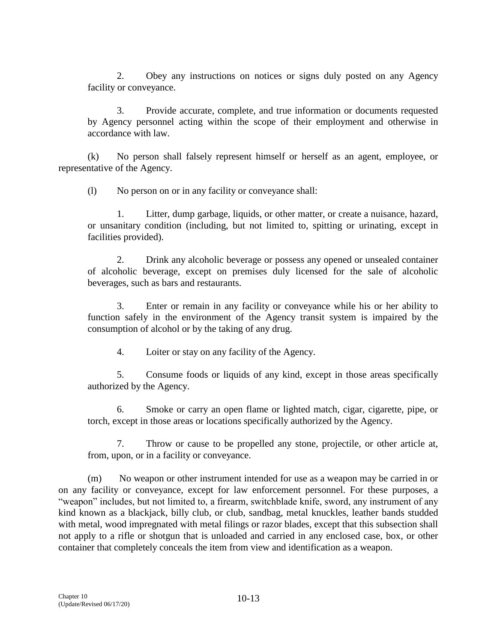2. Obey any instructions on notices or signs duly posted on any Agency facility or conveyance.

3. Provide accurate, complete, and true information or documents requested by Agency personnel acting within the scope of their employment and otherwise in accordance with law.

(k) No person shall falsely represent himself or herself as an agent, employee, or representative of the Agency.

(l) No person on or in any facility or conveyance shall:

1. Litter, dump garbage, liquids, or other matter, or create a nuisance, hazard, or unsanitary condition (including, but not limited to, spitting or urinating, except in facilities provided).

2. Drink any alcoholic beverage or possess any opened or unsealed container of alcoholic beverage, except on premises duly licensed for the sale of alcoholic beverages, such as bars and restaurants.

3. Enter or remain in any facility or conveyance while his or her ability to function safely in the environment of the Agency transit system is impaired by the consumption of alcohol or by the taking of any drug.

4. Loiter or stay on any facility of the Agency.

5. Consume foods or liquids of any kind, except in those areas specifically authorized by the Agency.

6. Smoke or carry an open flame or lighted match, cigar, cigarette, pipe, or torch, except in those areas or locations specifically authorized by the Agency.

7. Throw or cause to be propelled any stone, projectile, or other article at, from, upon, or in a facility or conveyance.

(m) No weapon or other instrument intended for use as a weapon may be carried in or on any facility or conveyance, except for law enforcement personnel. For these purposes, a "weapon" includes, but not limited to, a firearm, switchblade knife, sword, any instrument of any kind known as a blackjack, billy club, or club, sandbag, metal knuckles, leather bands studded with metal, wood impregnated with metal filings or razor blades, except that this subsection shall not apply to a rifle or shotgun that is unloaded and carried in any enclosed case, box, or other container that completely conceals the item from view and identification as a weapon.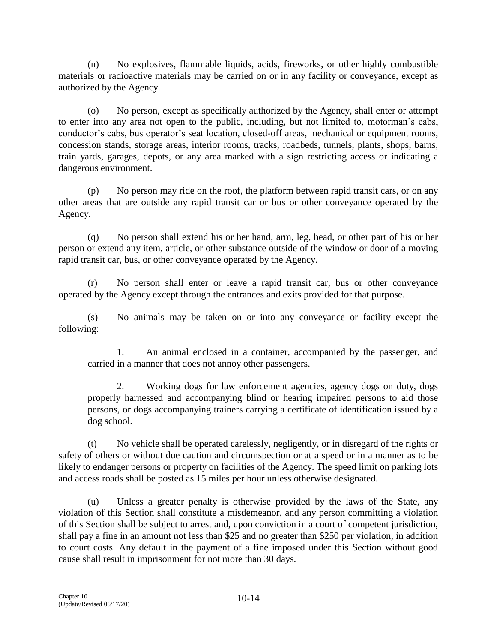(n) No explosives, flammable liquids, acids, fireworks, or other highly combustible materials or radioactive materials may be carried on or in any facility or conveyance, except as authorized by the Agency.

(o) No person, except as specifically authorized by the Agency, shall enter or attempt to enter into any area not open to the public, including, but not limited to, motorman's cabs, conductor's cabs, bus operator's seat location, closed-off areas, mechanical or equipment rooms, concession stands, storage areas, interior rooms, tracks, roadbeds, tunnels, plants, shops, barns, train yards, garages, depots, or any area marked with a sign restricting access or indicating a dangerous environment.

(p) No person may ride on the roof, the platform between rapid transit cars, or on any other areas that are outside any rapid transit car or bus or other conveyance operated by the Agency.

(q) No person shall extend his or her hand, arm, leg, head, or other part of his or her person or extend any item, article, or other substance outside of the window or door of a moving rapid transit car, bus, or other conveyance operated by the Agency.

(r) No person shall enter or leave a rapid transit car, bus or other conveyance operated by the Agency except through the entrances and exits provided for that purpose.

(s) No animals may be taken on or into any conveyance or facility except the following:

1. An animal enclosed in a container, accompanied by the passenger, and carried in a manner that does not annoy other passengers.

2. Working dogs for law enforcement agencies, agency dogs on duty, dogs properly harnessed and accompanying blind or hearing impaired persons to aid those persons, or dogs accompanying trainers carrying a certificate of identification issued by a dog school.

(t) No vehicle shall be operated carelessly, negligently, or in disregard of the rights or safety of others or without due caution and circumspection or at a speed or in a manner as to be likely to endanger persons or property on facilities of the Agency. The speed limit on parking lots and access roads shall be posted as 15 miles per hour unless otherwise designated.

(u) Unless a greater penalty is otherwise provided by the laws of the State, any violation of this Section shall constitute a misdemeanor, and any person committing a violation of this Section shall be subject to arrest and, upon conviction in a court of competent jurisdiction, shall pay a fine in an amount not less than \$25 and no greater than \$250 per violation, in addition to court costs. Any default in the payment of a fine imposed under this Section without good cause shall result in imprisonment for not more than 30 days.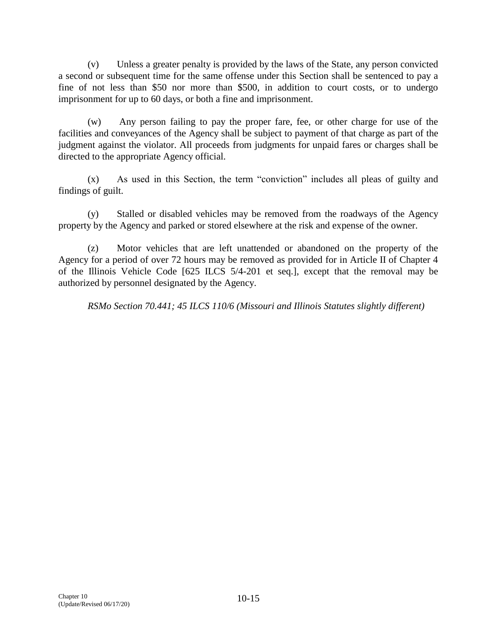(v) Unless a greater penalty is provided by the laws of the State, any person convicted a second or subsequent time for the same offense under this Section shall be sentenced to pay a fine of not less than \$50 nor more than \$500, in addition to court costs, or to undergo imprisonment for up to 60 days, or both a fine and imprisonment.

(w) Any person failing to pay the proper fare, fee, or other charge for use of the facilities and conveyances of the Agency shall be subject to payment of that charge as part of the judgment against the violator. All proceeds from judgments for unpaid fares or charges shall be directed to the appropriate Agency official.

(x) As used in this Section, the term "conviction" includes all pleas of guilty and findings of guilt.

(y) Stalled or disabled vehicles may be removed from the roadways of the Agency property by the Agency and parked or stored elsewhere at the risk and expense of the owner.

(z) Motor vehicles that are left unattended or abandoned on the property of the Agency for a period of over 72 hours may be removed as provided for in Article II of Chapter 4 of the Illinois Vehicle Code [625 ILCS 5/4-201 et seq.], except that the removal may be authorized by personnel designated by the Agency.

*RSMo Section 70.441; 45 ILCS 110/6 (Missouri and Illinois Statutes slightly different)*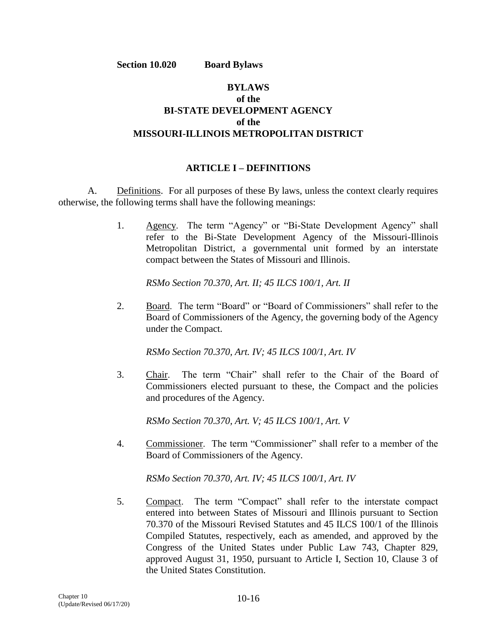**Section 10.020 Board Bylaws**

# **BYLAWS of the BI-STATE DEVELOPMENT AGENCY of the MISSOURI-ILLINOIS METROPOLITAN DISTRICT**

### **ARTICLE I – DEFINITIONS**

A. Definitions. For all purposes of these By laws, unless the context clearly requires otherwise, the following terms shall have the following meanings:

> 1. Agency. The term "Agency" or "Bi-State Development Agency" shall refer to the Bi-State Development Agency of the Missouri-Illinois Metropolitan District, a governmental unit formed by an interstate compact between the States of Missouri and Illinois.

*RSMo Section 70.370, Art. II; 45 ILCS 100/1, Art. II*

2. Board. The term "Board" or "Board of Commissioners" shall refer to the Board of Commissioners of the Agency, the governing body of the Agency under the Compact.

*RSMo Section 70.370, Art. IV; 45 ILCS 100/1, Art. IV*

3. Chair. The term "Chair" shall refer to the Chair of the Board of Commissioners elected pursuant to these, the Compact and the policies and procedures of the Agency.

*RSMo Section 70.370, Art. V; 45 ILCS 100/1, Art. V*

4. Commissioner. The term "Commissioner" shall refer to a member of the Board of Commissioners of the Agency.

*RSMo Section 70.370, Art. IV; 45 ILCS 100/1, Art. IV*

5. Compact. The term "Compact" shall refer to the interstate compact entered into between States of Missouri and Illinois pursuant to Section 70.370 of the Missouri Revised Statutes and 45 ILCS 100/1 of the Illinois Compiled Statutes, respectively, each as amended, and approved by the Congress of the United States under Public Law 743, Chapter 829, approved August 31, 1950, pursuant to Article I, Section 10, Clause 3 of the United States Constitution.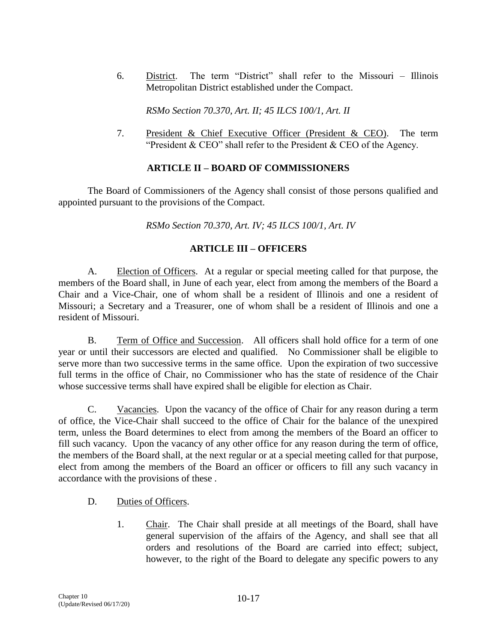6. District. The term "District" shall refer to the Missouri – Illinois Metropolitan District established under the Compact.

*RSMo Section 70.370, Art. II; 45 ILCS 100/1, Art. II*

7. President & Chief Executive Officer (President & CEO). The term "President & CEO" shall refer to the President & CEO of the Agency.

# **ARTICLE II – BOARD OF COMMISSIONERS**

The Board of Commissioners of the Agency shall consist of those persons qualified and appointed pursuant to the provisions of the Compact.

*RSMo Section 70.370, Art. IV; 45 ILCS 100/1, Art. IV*

# **ARTICLE III – OFFICERS**

A. Election of Officers. At a regular or special meeting called for that purpose, the members of the Board shall, in June of each year, elect from among the members of the Board a Chair and a Vice-Chair, one of whom shall be a resident of Illinois and one a resident of Missouri; a Secretary and a Treasurer, one of whom shall be a resident of Illinois and one a resident of Missouri.

B. Term of Office and Succession. All officers shall hold office for a term of one year or until their successors are elected and qualified. No Commissioner shall be eligible to serve more than two successive terms in the same office. Upon the expiration of two successive full terms in the office of Chair, no Commissioner who has the state of residence of the Chair whose successive terms shall have expired shall be eligible for election as Chair.

C. Vacancies. Upon the vacancy of the office of Chair for any reason during a term of office, the Vice-Chair shall succeed to the office of Chair for the balance of the unexpired term, unless the Board determines to elect from among the members of the Board an officer to fill such vacancy. Upon the vacancy of any other office for any reason during the term of office, the members of the Board shall, at the next regular or at a special meeting called for that purpose, elect from among the members of the Board an officer or officers to fill any such vacancy in accordance with the provisions of these .

# D. Duties of Officers.

1. Chair. The Chair shall preside at all meetings of the Board, shall have general supervision of the affairs of the Agency, and shall see that all orders and resolutions of the Board are carried into effect; subject, however, to the right of the Board to delegate any specific powers to any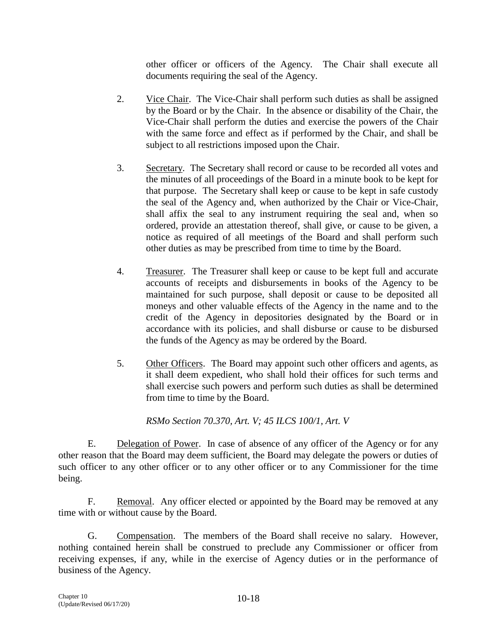other officer or officers of the Agency. The Chair shall execute all documents requiring the seal of the Agency.

- 2. Vice Chair. The Vice-Chair shall perform such duties as shall be assigned by the Board or by the Chair. In the absence or disability of the Chair, the Vice-Chair shall perform the duties and exercise the powers of the Chair with the same force and effect as if performed by the Chair, and shall be subject to all restrictions imposed upon the Chair.
- 3. Secretary. The Secretary shall record or cause to be recorded all votes and the minutes of all proceedings of the Board in a minute book to be kept for that purpose. The Secretary shall keep or cause to be kept in safe custody the seal of the Agency and, when authorized by the Chair or Vice-Chair, shall affix the seal to any instrument requiring the seal and, when so ordered, provide an attestation thereof, shall give, or cause to be given, a notice as required of all meetings of the Board and shall perform such other duties as may be prescribed from time to time by the Board.
- 4. Treasurer. The Treasurer shall keep or cause to be kept full and accurate accounts of receipts and disbursements in books of the Agency to be maintained for such purpose, shall deposit or cause to be deposited all moneys and other valuable effects of the Agency in the name and to the credit of the Agency in depositories designated by the Board or in accordance with its policies, and shall disburse or cause to be disbursed the funds of the Agency as may be ordered by the Board.
- 5. Other Officers. The Board may appoint such other officers and agents, as it shall deem expedient, who shall hold their offices for such terms and shall exercise such powers and perform such duties as shall be determined from time to time by the Board.

*RSMo Section 70.370, Art. V; 45 ILCS 100/1, Art. V*

E. Delegation of Power. In case of absence of any officer of the Agency or for any other reason that the Board may deem sufficient, the Board may delegate the powers or duties of such officer to any other officer or to any other officer or to any Commissioner for the time being.

F. Removal. Any officer elected or appointed by the Board may be removed at any time with or without cause by the Board.

G. Compensation. The members of the Board shall receive no salary. However, nothing contained herein shall be construed to preclude any Commissioner or officer from receiving expenses, if any, while in the exercise of Agency duties or in the performance of business of the Agency.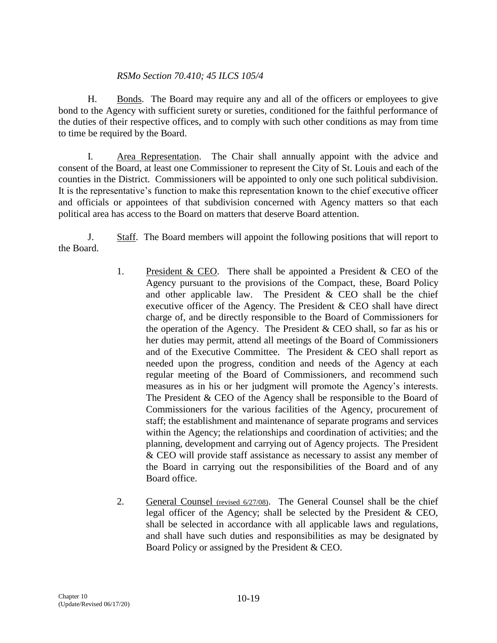# *RSMo Section 70.410; 45 ILCS 105/4*

H. Bonds. The Board may require any and all of the officers or employees to give bond to the Agency with sufficient surety or sureties, conditioned for the faithful performance of the duties of their respective offices, and to comply with such other conditions as may from time to time be required by the Board.

I. Area Representation. The Chair shall annually appoint with the advice and consent of the Board, at least one Commissioner to represent the City of St. Louis and each of the counties in the District. Commissioners will be appointed to only one such political subdivision. It is the representative's function to make this representation known to the chief executive officer and officials or appointees of that subdivision concerned with Agency matters so that each political area has access to the Board on matters that deserve Board attention.

J. Staff. The Board members will appoint the following positions that will report to the Board.

- 1. President & CEO. There shall be appointed a President & CEO of the Agency pursuant to the provisions of the Compact, these, Board Policy and other applicable law. The President & CEO shall be the chief executive officer of the Agency. The President & CEO shall have direct charge of, and be directly responsible to the Board of Commissioners for the operation of the Agency. The President & CEO shall, so far as his or her duties may permit, attend all meetings of the Board of Commissioners and of the Executive Committee. The President & CEO shall report as needed upon the progress, condition and needs of the Agency at each regular meeting of the Board of Commissioners, and recommend such measures as in his or her judgment will promote the Agency's interests. The President & CEO of the Agency shall be responsible to the Board of Commissioners for the various facilities of the Agency, procurement of staff; the establishment and maintenance of separate programs and services within the Agency; the relationships and coordination of activities; and the planning, development and carrying out of Agency projects. The President & CEO will provide staff assistance as necessary to assist any member of the Board in carrying out the responsibilities of the Board and of any Board office.
- 2. General Counsel (revised 6/27/08). The General Counsel shall be the chief legal officer of the Agency; shall be selected by the President & CEO, shall be selected in accordance with all applicable laws and regulations, and shall have such duties and responsibilities as may be designated by Board Policy or assigned by the President & CEO.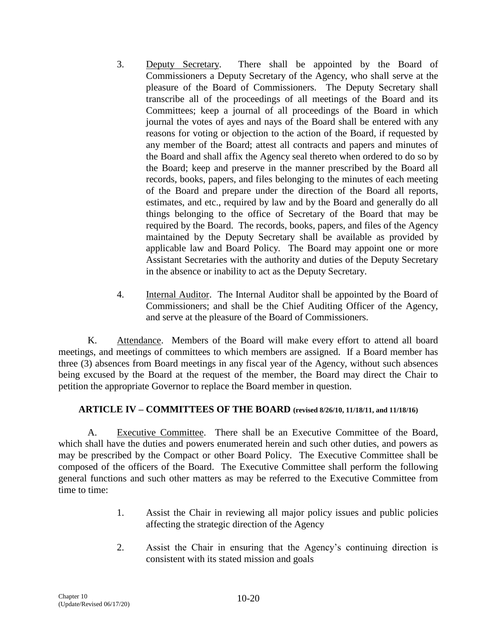- 3. Deputy Secretary. There shall be appointed by the Board of Commissioners a Deputy Secretary of the Agency, who shall serve at the pleasure of the Board of Commissioners. The Deputy Secretary shall transcribe all of the proceedings of all meetings of the Board and its Committees; keep a journal of all proceedings of the Board in which journal the votes of ayes and nays of the Board shall be entered with any reasons for voting or objection to the action of the Board, if requested by any member of the Board; attest all contracts and papers and minutes of the Board and shall affix the Agency seal thereto when ordered to do so by the Board; keep and preserve in the manner prescribed by the Board all records, books, papers, and files belonging to the minutes of each meeting of the Board and prepare under the direction of the Board all reports, estimates, and etc., required by law and by the Board and generally do all things belonging to the office of Secretary of the Board that may be required by the Board. The records, books, papers, and files of the Agency maintained by the Deputy Secretary shall be available as provided by applicable law and Board Policy. The Board may appoint one or more Assistant Secretaries with the authority and duties of the Deputy Secretary in the absence or inability to act as the Deputy Secretary.
- 4. Internal Auditor. The Internal Auditor shall be appointed by the Board of Commissioners; and shall be the Chief Auditing Officer of the Agency, and serve at the pleasure of the Board of Commissioners.

K. Attendance. Members of the Board will make every effort to attend all board meetings, and meetings of committees to which members are assigned. If a Board member has three (3) absences from Board meetings in any fiscal year of the Agency, without such absences being excused by the Board at the request of the member, the Board may direct the Chair to petition the appropriate Governor to replace the Board member in question.

# **ARTICLE IV – COMMITTEES OF THE BOARD (revised 8/26/10, 11/18/11, and 11/18/16)**

A. Executive Committee. There shall be an Executive Committee of the Board, which shall have the duties and powers enumerated herein and such other duties, and powers as may be prescribed by the Compact or other Board Policy. The Executive Committee shall be composed of the officers of the Board. The Executive Committee shall perform the following general functions and such other matters as may be referred to the Executive Committee from time to time:

- 1. Assist the Chair in reviewing all major policy issues and public policies affecting the strategic direction of the Agency
- 2. Assist the Chair in ensuring that the Agency's continuing direction is consistent with its stated mission and goals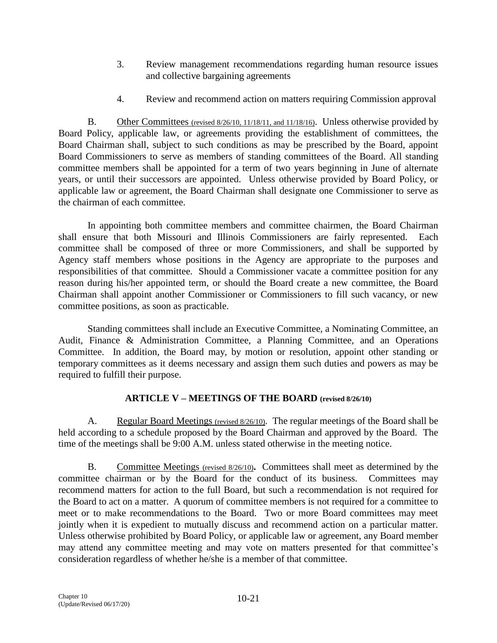- 3. Review management recommendations regarding human resource issues and collective bargaining agreements
- 4. Review and recommend action on matters requiring Commission approval

B. Other Committees (revised 8/26/10, 11/18/11, and 11/18/16). Unless otherwise provided by Board Policy, applicable law, or agreements providing the establishment of committees, the Board Chairman shall, subject to such conditions as may be prescribed by the Board, appoint Board Commissioners to serve as members of standing committees of the Board. All standing committee members shall be appointed for a term of two years beginning in June of alternate years, or until their successors are appointed. Unless otherwise provided by Board Policy, or applicable law or agreement, the Board Chairman shall designate one Commissioner to serve as the chairman of each committee.

In appointing both committee members and committee chairmen, the Board Chairman shall ensure that both Missouri and Illinois Commissioners are fairly represented. Each committee shall be composed of three or more Commissioners, and shall be supported by Agency staff members whose positions in the Agency are appropriate to the purposes and responsibilities of that committee. Should a Commissioner vacate a committee position for any reason during his/her appointed term, or should the Board create a new committee, the Board Chairman shall appoint another Commissioner or Commissioners to fill such vacancy, or new committee positions, as soon as practicable.

Standing committees shall include an Executive Committee, a Nominating Committee, an Audit, Finance & Administration Committee, a Planning Committee, and an Operations Committee. In addition, the Board may, by motion or resolution, appoint other standing or temporary committees as it deems necessary and assign them such duties and powers as may be required to fulfill their purpose.

# **ARTICLE V – MEETINGS OF THE BOARD (revised 8/26/10)**

A. Regular Board Meetings (revised 8/26/10). The regular meetings of the Board shall be held according to a schedule proposed by the Board Chairman and approved by the Board. The time of the meetings shall be 9:00 A.M. unless stated otherwise in the meeting notice.

B. Committee Meetings (revised 8/26/10)**.** Committees shall meet as determined by the committee chairman or by the Board for the conduct of its business. Committees may recommend matters for action to the full Board, but such a recommendation is not required for the Board to act on a matter. A quorum of committee members is not required for a committee to meet or to make recommendations to the Board. Two or more Board committees may meet jointly when it is expedient to mutually discuss and recommend action on a particular matter. Unless otherwise prohibited by Board Policy, or applicable law or agreement, any Board member may attend any committee meeting and may vote on matters presented for that committee's consideration regardless of whether he/she is a member of that committee.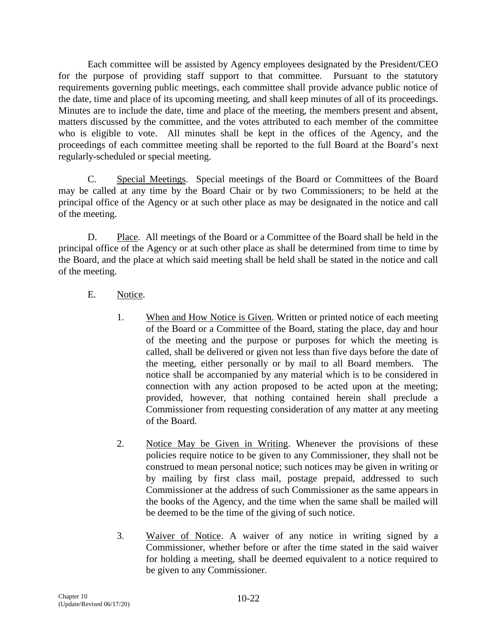Each committee will be assisted by Agency employees designated by the President/CEO for the purpose of providing staff support to that committee. Pursuant to the statutory requirements governing public meetings, each committee shall provide advance public notice of the date, time and place of its upcoming meeting, and shall keep minutes of all of its proceedings. Minutes are to include the date, time and place of the meeting, the members present and absent, matters discussed by the committee, and the votes attributed to each member of the committee who is eligible to vote. All minutes shall be kept in the offices of the Agency, and the proceedings of each committee meeting shall be reported to the full Board at the Board's next regularly-scheduled or special meeting.

C. Special Meetings. Special meetings of the Board or Committees of the Board may be called at any time by the Board Chair or by two Commissioners; to be held at the principal office of the Agency or at such other place as may be designated in the notice and call of the meeting.

D. Place. All meetings of the Board or a Committee of the Board shall be held in the principal office of the Agency or at such other place as shall be determined from time to time by the Board, and the place at which said meeting shall be held shall be stated in the notice and call of the meeting.

# E. Notice.

- 1. When and How Notice is Given. Written or printed notice of each meeting of the Board or a Committee of the Board, stating the place, day and hour of the meeting and the purpose or purposes for which the meeting is called, shall be delivered or given not less than five days before the date of the meeting, either personally or by mail to all Board members. The notice shall be accompanied by any material which is to be considered in connection with any action proposed to be acted upon at the meeting; provided, however, that nothing contained herein shall preclude a Commissioner from requesting consideration of any matter at any meeting of the Board.
- 2. Notice May be Given in Writing. Whenever the provisions of these policies require notice to be given to any Commissioner, they shall not be construed to mean personal notice; such notices may be given in writing or by mailing by first class mail, postage prepaid, addressed to such Commissioner at the address of such Commissioner as the same appears in the books of the Agency, and the time when the same shall be mailed will be deemed to be the time of the giving of such notice.
- 3. Waiver of Notice. A waiver of any notice in writing signed by a Commissioner, whether before or after the time stated in the said waiver for holding a meeting, shall be deemed equivalent to a notice required to be given to any Commissioner.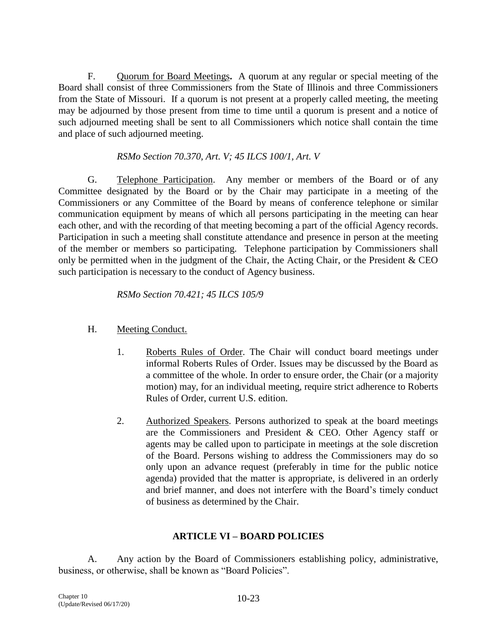F. Quorum for Board Meetings**.** A quorum at any regular or special meeting of the Board shall consist of three Commissioners from the State of Illinois and three Commissioners from the State of Missouri. If a quorum is not present at a properly called meeting, the meeting may be adjourned by those present from time to time until a quorum is present and a notice of such adjourned meeting shall be sent to all Commissioners which notice shall contain the time and place of such adjourned meeting.

# *RSMo Section 70.370, Art. V; 45 ILCS 100/1, Art. V*

G. Telephone Participation. Any member or members of the Board or of any Committee designated by the Board or by the Chair may participate in a meeting of the Commissioners or any Committee of the Board by means of conference telephone or similar communication equipment by means of which all persons participating in the meeting can hear each other, and with the recording of that meeting becoming a part of the official Agency records. Participation in such a meeting shall constitute attendance and presence in person at the meeting of the member or members so participating. Telephone participation by Commissioners shall only be permitted when in the judgment of the Chair, the Acting Chair, or the President & CEO such participation is necessary to the conduct of Agency business.

*RSMo Section 70.421; 45 ILCS 105/9*

# H. Meeting Conduct.

- 1. Roberts Rules of Order. The Chair will conduct board meetings under informal Roberts Rules of Order. Issues may be discussed by the Board as a committee of the whole. In order to ensure order, the Chair (or a majority motion) may, for an individual meeting, require strict adherence to Roberts Rules of Order, current U.S. edition.
- 2. Authorized Speakers. Persons authorized to speak at the board meetings are the Commissioners and President & CEO. Other Agency staff or agents may be called upon to participate in meetings at the sole discretion of the Board. Persons wishing to address the Commissioners may do so only upon an advance request (preferably in time for the public notice agenda) provided that the matter is appropriate, is delivered in an orderly and brief manner, and does not interfere with the Board's timely conduct of business as determined by the Chair.

# **ARTICLE VI – BOARD POLICIES**

A. Any action by the Board of Commissioners establishing policy, administrative, business, or otherwise, shall be known as "Board Policies".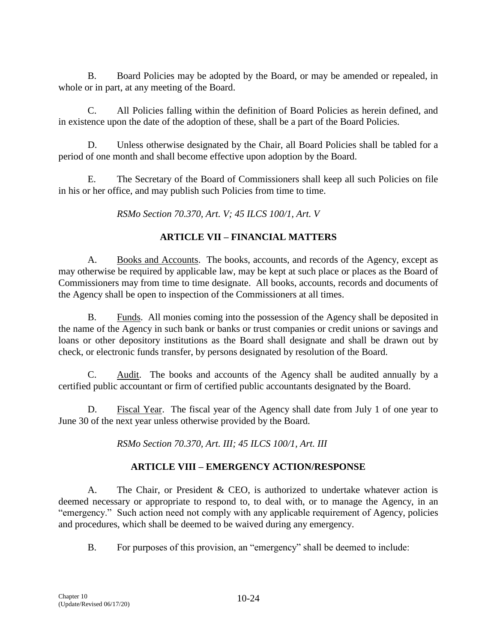B. Board Policies may be adopted by the Board, or may be amended or repealed, in whole or in part, at any meeting of the Board.

C. All Policies falling within the definition of Board Policies as herein defined, and in existence upon the date of the adoption of these, shall be a part of the Board Policies.

D. Unless otherwise designated by the Chair, all Board Policies shall be tabled for a period of one month and shall become effective upon adoption by the Board.

E. The Secretary of the Board of Commissioners shall keep all such Policies on file in his or her office, and may publish such Policies from time to time.

*RSMo Section 70.370, Art. V; 45 ILCS 100/1, Art. V*

# **ARTICLE VII – FINANCIAL MATTERS**

A. Books and Accounts. The books, accounts, and records of the Agency, except as may otherwise be required by applicable law, may be kept at such place or places as the Board of Commissioners may from time to time designate. All books, accounts, records and documents of the Agency shall be open to inspection of the Commissioners at all times.

B. Funds. All monies coming into the possession of the Agency shall be deposited in the name of the Agency in such bank or banks or trust companies or credit unions or savings and loans or other depository institutions as the Board shall designate and shall be drawn out by check, or electronic funds transfer, by persons designated by resolution of the Board.

C. Audit. The books and accounts of the Agency shall be audited annually by a certified public accountant or firm of certified public accountants designated by the Board.

D. Fiscal Year. The fiscal year of the Agency shall date from July 1 of one year to June 30 of the next year unless otherwise provided by the Board.

*RSMo Section 70.370, Art. III; 45 ILCS 100/1, Art. III*

# **ARTICLE VIII – EMERGENCY ACTION/RESPONSE**

A. The Chair, or President & CEO, is authorized to undertake whatever action is deemed necessary or appropriate to respond to, to deal with, or to manage the Agency, in an "emergency." Such action need not comply with any applicable requirement of Agency, policies and procedures, which shall be deemed to be waived during any emergency.

B. For purposes of this provision, an "emergency" shall be deemed to include: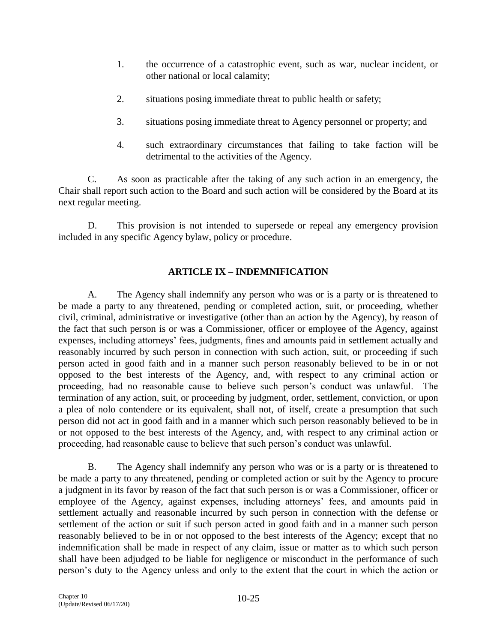- 1. the occurrence of a catastrophic event, such as war, nuclear incident, or other national or local calamity;
- 2. situations posing immediate threat to public health or safety;
- 3. situations posing immediate threat to Agency personnel or property; and
- 4. such extraordinary circumstances that failing to take faction will be detrimental to the activities of the Agency.

C. As soon as practicable after the taking of any such action in an emergency, the Chair shall report such action to the Board and such action will be considered by the Board at its next regular meeting.

D. This provision is not intended to supersede or repeal any emergency provision included in any specific Agency bylaw, policy or procedure.

# **ARTICLE IX – INDEMNIFICATION**

A. The Agency shall indemnify any person who was or is a party or is threatened to be made a party to any threatened, pending or completed action, suit, or proceeding, whether civil, criminal, administrative or investigative (other than an action by the Agency), by reason of the fact that such person is or was a Commissioner, officer or employee of the Agency, against expenses, including attorneys' fees, judgments, fines and amounts paid in settlement actually and reasonably incurred by such person in connection with such action, suit, or proceeding if such person acted in good faith and in a manner such person reasonably believed to be in or not opposed to the best interests of the Agency, and, with respect to any criminal action or proceeding, had no reasonable cause to believe such person's conduct was unlawful. The termination of any action, suit, or proceeding by judgment, order, settlement, conviction, or upon a plea of nolo contendere or its equivalent, shall not, of itself, create a presumption that such person did not act in good faith and in a manner which such person reasonably believed to be in or not opposed to the best interests of the Agency, and, with respect to any criminal action or proceeding, had reasonable cause to believe that such person's conduct was unlawful.

B. The Agency shall indemnify any person who was or is a party or is threatened to be made a party to any threatened, pending or completed action or suit by the Agency to procure a judgment in its favor by reason of the fact that such person is or was a Commissioner, officer or employee of the Agency, against expenses, including attorneys' fees, and amounts paid in settlement actually and reasonable incurred by such person in connection with the defense or settlement of the action or suit if such person acted in good faith and in a manner such person reasonably believed to be in or not opposed to the best interests of the Agency; except that no indemnification shall be made in respect of any claim, issue or matter as to which such person shall have been adjudged to be liable for negligence or misconduct in the performance of such person's duty to the Agency unless and only to the extent that the court in which the action or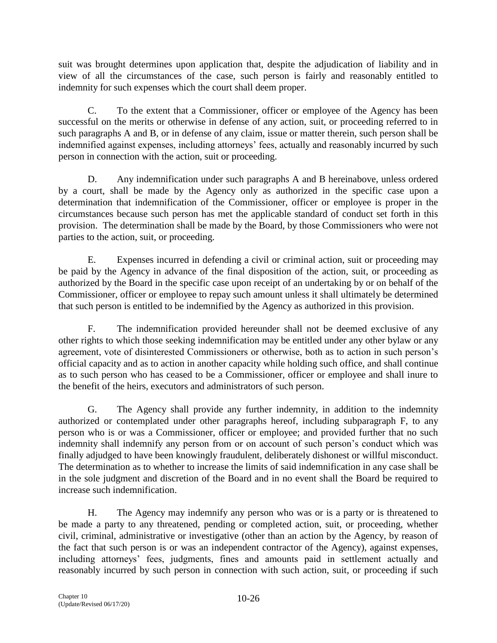suit was brought determines upon application that, despite the adjudication of liability and in view of all the circumstances of the case, such person is fairly and reasonably entitled to indemnity for such expenses which the court shall deem proper.

C. To the extent that a Commissioner, officer or employee of the Agency has been successful on the merits or otherwise in defense of any action, suit, or proceeding referred to in such paragraphs A and B, or in defense of any claim, issue or matter therein, such person shall be indemnified against expenses, including attorneys' fees, actually and reasonably incurred by such person in connection with the action, suit or proceeding.

D. Any indemnification under such paragraphs A and B hereinabove, unless ordered by a court, shall be made by the Agency only as authorized in the specific case upon a determination that indemnification of the Commissioner, officer or employee is proper in the circumstances because such person has met the applicable standard of conduct set forth in this provision. The determination shall be made by the Board, by those Commissioners who were not parties to the action, suit, or proceeding.

E. Expenses incurred in defending a civil or criminal action, suit or proceeding may be paid by the Agency in advance of the final disposition of the action, suit, or proceeding as authorized by the Board in the specific case upon receipt of an undertaking by or on behalf of the Commissioner, officer or employee to repay such amount unless it shall ultimately be determined that such person is entitled to be indemnified by the Agency as authorized in this provision.

F. The indemnification provided hereunder shall not be deemed exclusive of any other rights to which those seeking indemnification may be entitled under any other bylaw or any agreement, vote of disinterested Commissioners or otherwise, both as to action in such person's official capacity and as to action in another capacity while holding such office, and shall continue as to such person who has ceased to be a Commissioner, officer or employee and shall inure to the benefit of the heirs, executors and administrators of such person.

G. The Agency shall provide any further indemnity, in addition to the indemnity authorized or contemplated under other paragraphs hereof, including subparagraph F, to any person who is or was a Commissioner, officer or employee; and provided further that no such indemnity shall indemnify any person from or on account of such person's conduct which was finally adjudged to have been knowingly fraudulent, deliberately dishonest or willful misconduct. The determination as to whether to increase the limits of said indemnification in any case shall be in the sole judgment and discretion of the Board and in no event shall the Board be required to increase such indemnification.

H. The Agency may indemnify any person who was or is a party or is threatened to be made a party to any threatened, pending or completed action, suit, or proceeding, whether civil, criminal, administrative or investigative (other than an action by the Agency, by reason of the fact that such person is or was an independent contractor of the Agency), against expenses, including attorneys' fees, judgments, fines and amounts paid in settlement actually and reasonably incurred by such person in connection with such action, suit, or proceeding if such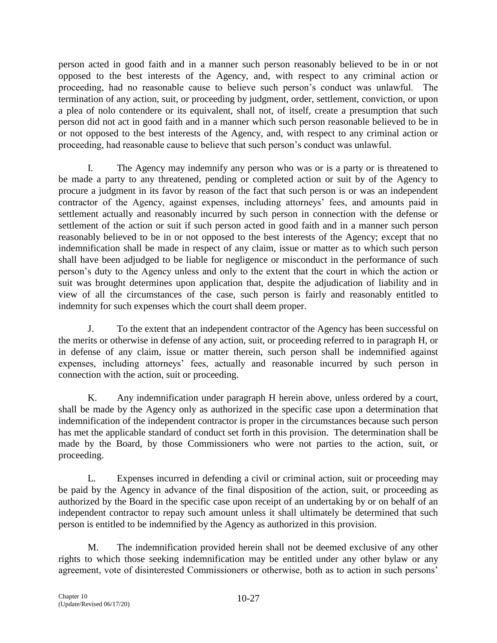person acted in good faith and in a manner such person reasonably believed to be in or not opposed to the best interests of the Agency, and, with respect to any criminal action or proceeding, had no reasonable cause to believe such person's conduct was unlawful. The termination of any action, suit, or proceeding by judgment, order, settlement, conviction, or upon a plea of nolo contendere or its equivalent, shall not, of itself, create a presumption that such person did not act in good faith and in a manner which such person reasonable believed to be in or not opposed to the best interests of the Agency, and, with respect to any criminal action or proceeding, had reasonable cause to believe that such person's conduct was unlawful.

I. The Agency may indemnify any person who was or is a party or is threatened to be made a party to any threatened, pending or completed action or suit by of the Agency to procure a judgment in its favor by reason of the fact that such person is or was an independent contractor of the Agency, against expenses, including attorneys' fees, and amounts paid in settlement actually and reasonably incurred by such person in connection with the defense or settlement of the action or suit if such person acted in good faith and in a manner such person reasonably believed to be in or not opposed to the best interests of the Agency; except that no indemnification shall be made in respect of any claim, issue or matter as to which such person shall have been adjudged to be liable for negligence or misconduct in the performance of such person's duty to the Agency unless and only to the extent that the court in which the action or suit was brought determines upon application that, despite the adjudication of liability and in view of all the circumstances of the case, such person is fairly and reasonably entitled to indemnity for such expenses which the court shall deem proper.

J. To the extent that an independent contractor of the Agency has been successful on the merits or otherwise in defense of any action, suit, or proceeding referred to in paragraph H, or in defense of any claim, issue or matter therein, such person shall be indemnified against expenses, including attorneys' fees, actually and reasonable incurred by such person in connection with the action, suit or proceeding.

K. Any indemnification under paragraph H herein above, unless ordered by a court, shall be made by the Agency only as authorized in the specific case upon a determination that indemnification of the independent contractor is proper in the circumstances because such person has met the applicable standard of conduct set forth in this provision. The determination shall be made by the Board, by those Commissioners who were not parties to the action, suit, or proceeding.

L. Expenses incurred in defending a civil or criminal action, suit or proceeding may be paid by the Agency in advance of the final disposition of the action, suit, or proceeding as authorized by the Board in the specific case upon receipt of an undertaking by or on behalf of an independent contractor to repay such amount unless it shall ultimately be determined that such person is entitled to be indemnified by the Agency as authorized in this provision.

M. The indemnification provided herein shall not be deemed exclusive of any other rights to which those seeking indemnification may be entitled under any other bylaw or any agreement, vote of disinterested Commissioners or otherwise, both as to action in such persons'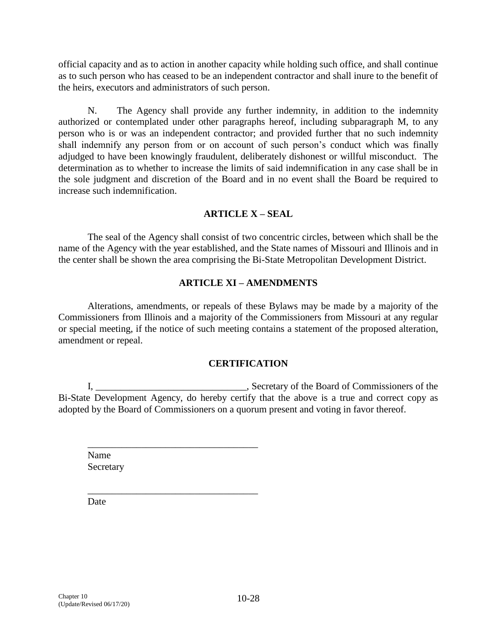official capacity and as to action in another capacity while holding such office, and shall continue as to such person who has ceased to be an independent contractor and shall inure to the benefit of the heirs, executors and administrators of such person.

N. The Agency shall provide any further indemnity, in addition to the indemnity authorized or contemplated under other paragraphs hereof, including subparagraph M, to any person who is or was an independent contractor; and provided further that no such indemnity shall indemnify any person from or on account of such person's conduct which was finally adjudged to have been knowingly fraudulent, deliberately dishonest or willful misconduct. The determination as to whether to increase the limits of said indemnification in any case shall be in the sole judgment and discretion of the Board and in no event shall the Board be required to increase such indemnification.

# **ARTICLE X – SEAL**

The seal of the Agency shall consist of two concentric circles, between which shall be the name of the Agency with the year established, and the State names of Missouri and Illinois and in the center shall be shown the area comprising the Bi-State Metropolitan Development District.

# **ARTICLE XI – AMENDMENTS**

Alterations, amendments, or repeals of these Bylaws may be made by a majority of the Commissioners from Illinois and a majority of the Commissioners from Missouri at any regular or special meeting, if the notice of such meeting contains a statement of the proposed alteration, amendment or repeal.

# **CERTIFICATION**

I, \_\_\_\_\_\_\_\_\_\_\_\_\_\_\_\_\_\_\_\_\_\_\_\_\_\_\_\_\_\_\_, Secretary of the Board of Commissioners of the Bi-State Development Agency, do hereby certify that the above is a true and correct copy as adopted by the Board of Commissioners on a quorum present and voting in favor thereof.

Name **Secretary** 

\_\_\_\_\_\_\_\_\_\_\_\_\_\_\_\_\_\_\_\_\_\_\_\_\_\_\_\_\_\_\_\_\_\_\_

 $\overline{\phantom{a}}$  ,  $\overline{\phantom{a}}$  ,  $\overline{\phantom{a}}$  ,  $\overline{\phantom{a}}$  ,  $\overline{\phantom{a}}$  ,  $\overline{\phantom{a}}$  ,  $\overline{\phantom{a}}$  ,  $\overline{\phantom{a}}$  ,  $\overline{\phantom{a}}$  ,  $\overline{\phantom{a}}$  ,  $\overline{\phantom{a}}$  ,  $\overline{\phantom{a}}$  ,  $\overline{\phantom{a}}$  ,  $\overline{\phantom{a}}$  ,  $\overline{\phantom{a}}$  ,  $\overline{\phantom{a}}$ 

Date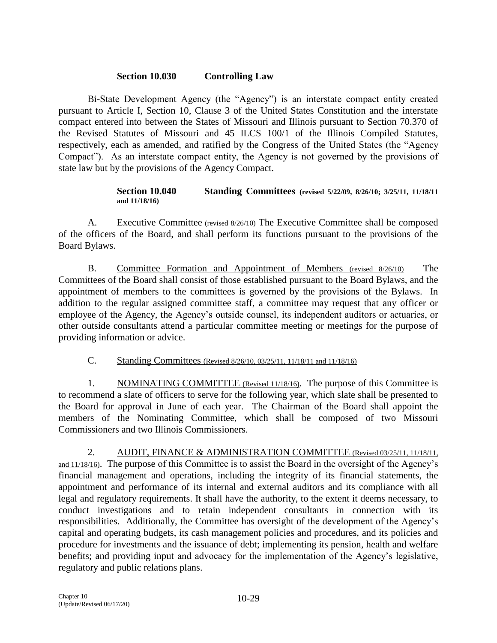# **Section 10.030 Controlling Law**

Bi-State Development Agency (the "Agency") is an interstate compact entity created pursuant to Article I, Section 10, Clause 3 of the United States Constitution and the interstate compact entered into between the States of Missouri and Illinois pursuant to Section 70.370 of the Revised Statutes of Missouri and 45 ILCS 100/1 of the Illinois Compiled Statutes, respectively, each as amended, and ratified by the Congress of the United States (the "Agency Compact"). As an interstate compact entity, the Agency is not governed by the provisions of state law but by the provisions of the Agency Compact.

#### **Section 10.040 Standing Committees (revised 5/22/09, 8/26/10; 3/25/11, 11/18/11 and 11/18/16)**

A. Executive Committee (revised 8/26/10) The Executive Committee shall be composed of the officers of the Board, and shall perform its functions pursuant to the provisions of the Board Bylaws.

B. Committee Formation and Appointment of Members (revised 8/26/10) The Committees of the Board shall consist of those established pursuant to the Board Bylaws, and the appointment of members to the committees is governed by the provisions of the Bylaws. In addition to the regular assigned committee staff, a committee may request that any officer or employee of the Agency, the Agency's outside counsel, its independent auditors or actuaries, or other outside consultants attend a particular committee meeting or meetings for the purpose of providing information or advice.

C. Standing Committees (Revised 8/26/10, 03/25/11, 11/18/11 and 11/18/16)

1. NOMINATING COMMITTEE (Revised 11/18/16). The purpose of this Committee is to recommend a slate of officers to serve for the following year, which slate shall be presented to the Board for approval in June of each year. The Chairman of the Board shall appoint the members of the Nominating Committee, which shall be composed of two Missouri Commissioners and two Illinois Commissioners.

2. AUDIT, FINANCE & ADMINISTRATION COMMITTEE (Revised 03/25/11, 11/18/11, and 11/18/16). The purpose of this Committee is to assist the Board in the oversight of the Agency's financial management and operations, including the integrity of its financial statements, the appointment and performance of its internal and external auditors and its compliance with all legal and regulatory requirements. It shall have the authority, to the extent it deems necessary, to conduct investigations and to retain independent consultants in connection with its responsibilities. Additionally, the Committee has oversight of the development of the Agency's capital and operating budgets, its cash management policies and procedures, and its policies and procedure for investments and the issuance of debt; implementing its pension, health and welfare benefits; and providing input and advocacy for the implementation of the Agency's legislative, regulatory and public relations plans.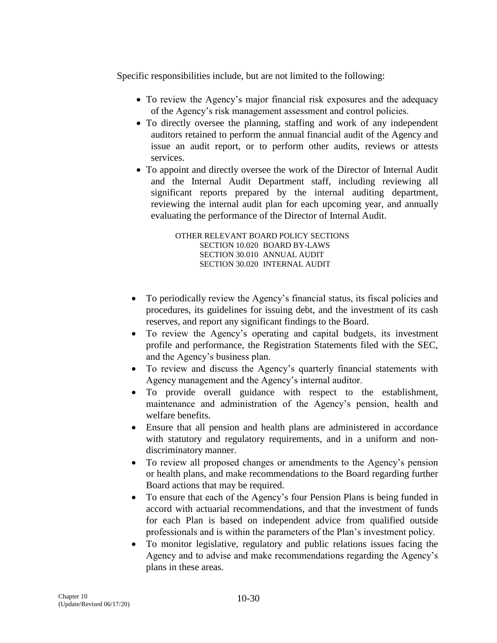Specific responsibilities include, but are not limited to the following:

- To review the Agency's major financial risk exposures and the adequacy of the Agency's risk management assessment and control policies.
- To directly oversee the planning, staffing and work of any independent auditors retained to perform the annual financial audit of the Agency and issue an audit report, or to perform other audits, reviews or attests services.
- To appoint and directly oversee the work of the Director of Internal Audit and the Internal Audit Department staff, including reviewing all significant reports prepared by the internal auditing department, reviewing the internal audit plan for each upcoming year, and annually evaluating the performance of the Director of Internal Audit.

OTHER RELEVANT BOARD POLICY SECTIONS SECTION 10.020 BOARD BY-LAWS SECTION 30.010 ANNUAL AUDIT SECTION 30.020 INTERNAL AUDIT

- To periodically review the Agency's financial status, its fiscal policies and procedures, its guidelines for issuing debt, and the investment of its cash reserves, and report any significant findings to the Board.
- To review the Agency's operating and capital budgets, its investment profile and performance, the Registration Statements filed with the SEC, and the Agency's business plan.
- To review and discuss the Agency's quarterly financial statements with Agency management and the Agency's internal auditor.
- To provide overall guidance with respect to the establishment, maintenance and administration of the Agency's pension, health and welfare benefits.
- Ensure that all pension and health plans are administered in accordance with statutory and regulatory requirements, and in a uniform and nondiscriminatory manner.
- To review all proposed changes or amendments to the Agency's pension or health plans, and make recommendations to the Board regarding further Board actions that may be required.
- To ensure that each of the Agency's four Pension Plans is being funded in accord with actuarial recommendations, and that the investment of funds for each Plan is based on independent advice from qualified outside professionals and is within the parameters of the Plan's investment policy.
- To monitor legislative, regulatory and public relations issues facing the Agency and to advise and make recommendations regarding the Agency's plans in these areas.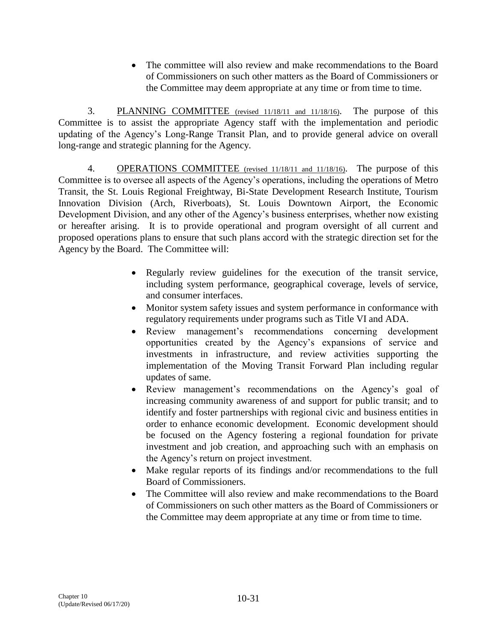The committee will also review and make recommendations to the Board of Commissioners on such other matters as the Board of Commissioners or the Committee may deem appropriate at any time or from time to time.

3. PLANNING COMMITTEE (revised 11/18/11 and 11/18/16). The purpose of this Committee is to assist the appropriate Agency staff with the implementation and periodic updating of the Agency's Long-Range Transit Plan, and to provide general advice on overall long-range and strategic planning for the Agency.

4. OPERATIONS COMMITTEE (revised 11/18/11 and 11/18/16). The purpose of this Committee is to oversee all aspects of the Agency's operations, including the operations of Metro Transit, the St. Louis Regional Freightway, Bi-State Development Research Institute, Tourism Innovation Division (Arch, Riverboats), St. Louis Downtown Airport, the Economic Development Division, and any other of the Agency's business enterprises, whether now existing or hereafter arising. It is to provide operational and program oversight of all current and proposed operations plans to ensure that such plans accord with the strategic direction set for the Agency by the Board. The Committee will:

- Regularly review guidelines for the execution of the transit service, including system performance, geographical coverage, levels of service, and consumer interfaces.
- Monitor system safety issues and system performance in conformance with regulatory requirements under programs such as Title VI and ADA.
- Review management's recommendations concerning development opportunities created by the Agency's expansions of service and investments in infrastructure, and review activities supporting the implementation of the Moving Transit Forward Plan including regular updates of same.
- Review management's recommendations on the Agency's goal of increasing community awareness of and support for public transit; and to identify and foster partnerships with regional civic and business entities in order to enhance economic development. Economic development should be focused on the Agency fostering a regional foundation for private investment and job creation, and approaching such with an emphasis on the Agency's return on project investment.
- Make regular reports of its findings and/or recommendations to the full Board of Commissioners.
- The Committee will also review and make recommendations to the Board of Commissioners on such other matters as the Board of Commissioners or the Committee may deem appropriate at any time or from time to time.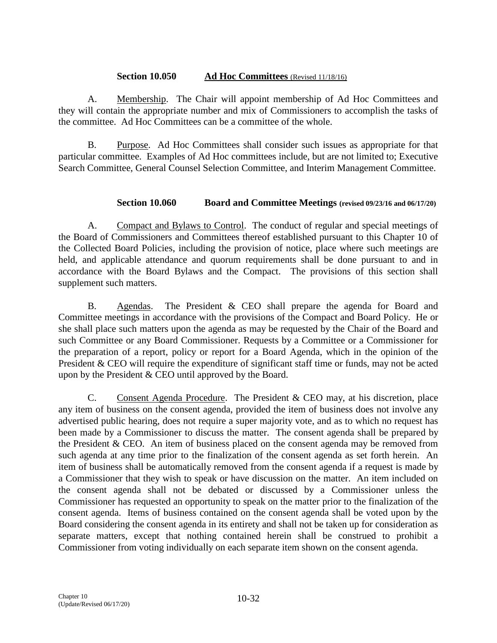## **Section 10.050 Ad Hoc Committees** (Revised 11/18/16)

A. Membership. The Chair will appoint membership of Ad Hoc Committees and they will contain the appropriate number and mix of Commissioners to accomplish the tasks of the committee. Ad Hoc Committees can be a committee of the whole.

B. Purpose. Ad Hoc Committees shall consider such issues as appropriate for that particular committee. Examples of Ad Hoc committees include, but are not limited to; Executive Search Committee, General Counsel Selection Committee, and Interim Management Committee.

# **Section 10.060 Board and Committee Meetings (revised 09/23/16 and 06/17/20)**

A. Compact and Bylaws to Control. The conduct of regular and special meetings of the Board of Commissioners and Committees thereof established pursuant to this Chapter 10 of the Collected Board Policies, including the provision of notice, place where such meetings are held, and applicable attendance and quorum requirements shall be done pursuant to and in accordance with the Board Bylaws and the Compact. The provisions of this section shall supplement such matters.

B. Agendas. The President & CEO shall prepare the agenda for Board and Committee meetings in accordance with the provisions of the Compact and Board Policy. He or she shall place such matters upon the agenda as may be requested by the Chair of the Board and such Committee or any Board Commissioner. Requests by a Committee or a Commissioner for the preparation of a report, policy or report for a Board Agenda, which in the opinion of the President & CEO will require the expenditure of significant staff time or funds, may not be acted upon by the President & CEO until approved by the Board.

C. Consent Agenda Procedure. The President & CEO may, at his discretion, place any item of business on the consent agenda, provided the item of business does not involve any advertised public hearing, does not require a super majority vote, and as to which no request has been made by a Commissioner to discuss the matter. The consent agenda shall be prepared by the President & CEO. An item of business placed on the consent agenda may be removed from such agenda at any time prior to the finalization of the consent agenda as set forth herein. An item of business shall be automatically removed from the consent agenda if a request is made by a Commissioner that they wish to speak or have discussion on the matter. An item included on the consent agenda shall not be debated or discussed by a Commissioner unless the Commissioner has requested an opportunity to speak on the matter prior to the finalization of the consent agenda. Items of business contained on the consent agenda shall be voted upon by the Board considering the consent agenda in its entirety and shall not be taken up for consideration as separate matters, except that nothing contained herein shall be construed to prohibit a Commissioner from voting individually on each separate item shown on the consent agenda.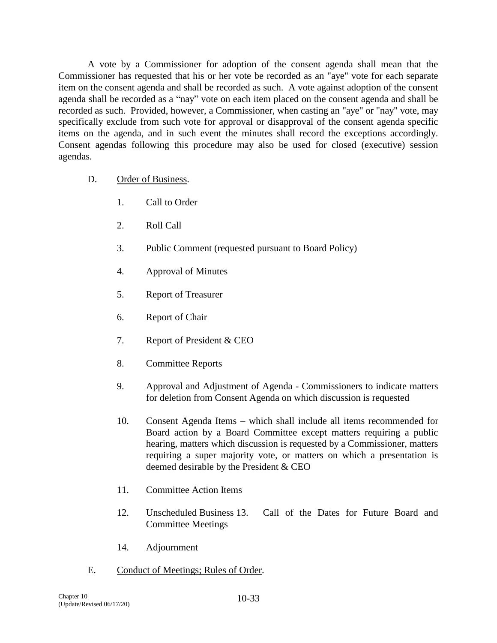A vote by a Commissioner for adoption of the consent agenda shall mean that the Commissioner has requested that his or her vote be recorded as an "aye" vote for each separate item on the consent agenda and shall be recorded as such. A vote against adoption of the consent agenda shall be recorded as a "nay" vote on each item placed on the consent agenda and shall be recorded as such. Provided, however, a Commissioner, when casting an "aye" or "nay" vote, may specifically exclude from such vote for approval or disapproval of the consent agenda specific items on the agenda, and in such event the minutes shall record the exceptions accordingly. Consent agendas following this procedure may also be used for closed (executive) session agendas.

- D. Order of Business.
	- 1. Call to Order
	- 2. Roll Call
	- 3. Public Comment (requested pursuant to Board Policy)
	- 4. Approval of Minutes
	- 5. Report of Treasurer
	- 6. Report of Chair
	- 7. Report of President & CEO
	- 8. Committee Reports
	- 9. Approval and Adjustment of Agenda Commissioners to indicate matters for deletion from Consent Agenda on which discussion is requested
	- 10. Consent Agenda Items which shall include all items recommended for Board action by a Board Committee except matters requiring a public hearing, matters which discussion is requested by a Commissioner, matters requiring a super majority vote, or matters on which a presentation is deemed desirable by the President & CEO
	- 11. Committee Action Items
	- 12. Unscheduled Business 13. Call of the Dates for Future Board and Committee Meetings
	- 14. Adjournment
- E. Conduct of Meetings; Rules of Order.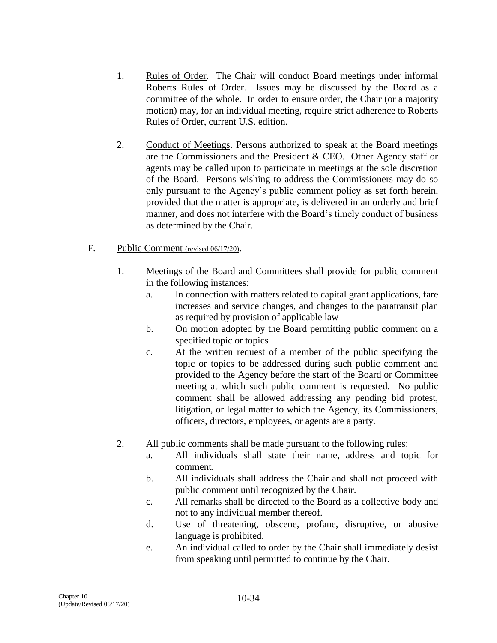- 1. Rules of Order. The Chair will conduct Board meetings under informal Roberts Rules of Order. Issues may be discussed by the Board as a committee of the whole. In order to ensure order, the Chair (or a majority motion) may, for an individual meeting, require strict adherence to Roberts Rules of Order, current U.S. edition.
- 2. Conduct of Meetings. Persons authorized to speak at the Board meetings are the Commissioners and the President & CEO. Other Agency staff or agents may be called upon to participate in meetings at the sole discretion of the Board. Persons wishing to address the Commissioners may do so only pursuant to the Agency's public comment policy as set forth herein, provided that the matter is appropriate, is delivered in an orderly and brief manner, and does not interfere with the Board's timely conduct of business as determined by the Chair.

# F. Public Comment (revised 06/17/20).

- 1. Meetings of the Board and Committees shall provide for public comment in the following instances:
	- a. In connection with matters related to capital grant applications, fare increases and service changes, and changes to the paratransit plan as required by provision of applicable law
	- b. On motion adopted by the Board permitting public comment on a specified topic or topics
	- c. At the written request of a member of the public specifying the topic or topics to be addressed during such public comment and provided to the Agency before the start of the Board or Committee meeting at which such public comment is requested. No public comment shall be allowed addressing any pending bid protest, litigation, or legal matter to which the Agency, its Commissioners, officers, directors, employees, or agents are a party.
- 2. All public comments shall be made pursuant to the following rules:
	- a. All individuals shall state their name, address and topic for comment.
	- b. All individuals shall address the Chair and shall not proceed with public comment until recognized by the Chair.
	- c. All remarks shall be directed to the Board as a collective body and not to any individual member thereof.
	- d. Use of threatening, obscene, profane, disruptive, or abusive language is prohibited.
	- e. An individual called to order by the Chair shall immediately desist from speaking until permitted to continue by the Chair.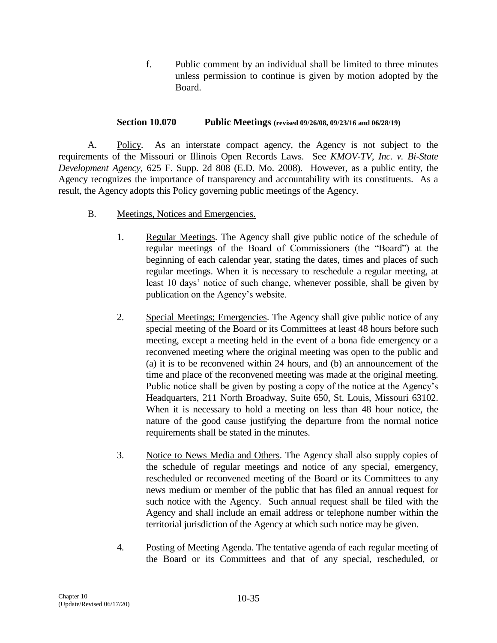f. Public comment by an individual shall be limited to three minutes unless permission to continue is given by motion adopted by the Board.

## **Section 10.070 Public Meetings (revised 09/26/08, 09/23/16 and 06/28/19)**

A. Policy. As an interstate compact agency, the Agency is not subject to the requirements of the Missouri or Illinois Open Records Laws. See *KMOV-TV, Inc. v. Bi-State Development Agency*, 625 F. Supp. 2d 808 (E.D. Mo. 2008). However, as a public entity, the Agency recognizes the importance of transparency and accountability with its constituents. As a result, the Agency adopts this Policy governing public meetings of the Agency.

- B. Meetings, Notices and Emergencies.
	- 1. Regular Meetings. The Agency shall give public notice of the schedule of regular meetings of the Board of Commissioners (the "Board") at the beginning of each calendar year, stating the dates, times and places of such regular meetings. When it is necessary to reschedule a regular meeting, at least 10 days' notice of such change, whenever possible, shall be given by publication on the Agency's website.
	- 2. Special Meetings; Emergencies. The Agency shall give public notice of any special meeting of the Board or its Committees at least 48 hours before such meeting, except a meeting held in the event of a bona fide emergency or a reconvened meeting where the original meeting was open to the public and (a) it is to be reconvened within 24 hours, and (b) an announcement of the time and place of the reconvened meeting was made at the original meeting. Public notice shall be given by posting a copy of the notice at the Agency's Headquarters, 211 North Broadway, Suite 650, St. Louis, Missouri 63102. When it is necessary to hold a meeting on less than 48 hour notice, the nature of the good cause justifying the departure from the normal notice requirements shall be stated in the minutes.
	- 3. Notice to News Media and Others. The Agency shall also supply copies of the schedule of regular meetings and notice of any special, emergency, rescheduled or reconvened meeting of the Board or its Committees to any news medium or member of the public that has filed an annual request for such notice with the Agency. Such annual request shall be filed with the Agency and shall include an email address or telephone number within the territorial jurisdiction of the Agency at which such notice may be given.
	- 4. Posting of Meeting Agenda. The tentative agenda of each regular meeting of the Board or its Committees and that of any special, rescheduled, or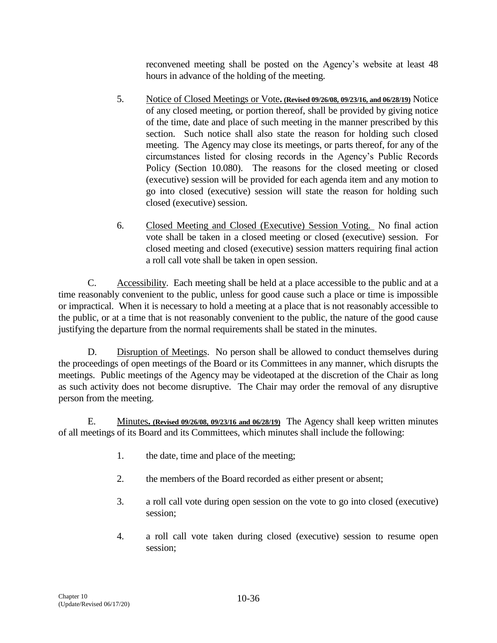reconvened meeting shall be posted on the Agency's website at least 48 hours in advance of the holding of the meeting.

- 5. Notice of Closed Meetings or Vote**. (Revised 09/26/08, 09/23/16, and 06/28/19)** Notice of any closed meeting, or portion thereof, shall be provided by giving notice of the time, date and place of such meeting in the manner prescribed by this section. Such notice shall also state the reason for holding such closed meeting. The Agency may close its meetings, or parts thereof, for any of the circumstances listed for closing records in the Agency's Public Records Policy (Section 10.080). The reasons for the closed meeting or closed (executive) session will be provided for each agenda item and any motion to go into closed (executive) session will state the reason for holding such closed (executive) session.
- 6. Closed Meeting and Closed (Executive) Session Voting. No final action vote shall be taken in a closed meeting or closed (executive) session. For closed meeting and closed (executive) session matters requiring final action a roll call vote shall be taken in open session.

C. Accessibility. Each meeting shall be held at a place accessible to the public and at a time reasonably convenient to the public, unless for good cause such a place or time is impossible or impractical. When it is necessary to hold a meeting at a place that is not reasonably accessible to the public, or at a time that is not reasonably convenient to the public, the nature of the good cause justifying the departure from the normal requirements shall be stated in the minutes.

D. Disruption of Meetings. No person shall be allowed to conduct themselves during the proceedings of open meetings of the Board or its Committees in any manner, which disrupts the meetings. Public meetings of the Agency may be videotaped at the discretion of the Chair as long as such activity does not become disruptive. The Chair may order the removal of any disruptive person from the meeting.

E. Minutes**. (Revised 09/26/08, 09/23/16 and 06/28/19)** The Agency shall keep written minutes of all meetings of its Board and its Committees, which minutes shall include the following:

- 1. the date, time and place of the meeting;
- 2. the members of the Board recorded as either present or absent;
- 3. a roll call vote during open session on the vote to go into closed (executive) session;
- 4. a roll call vote taken during closed (executive) session to resume open session;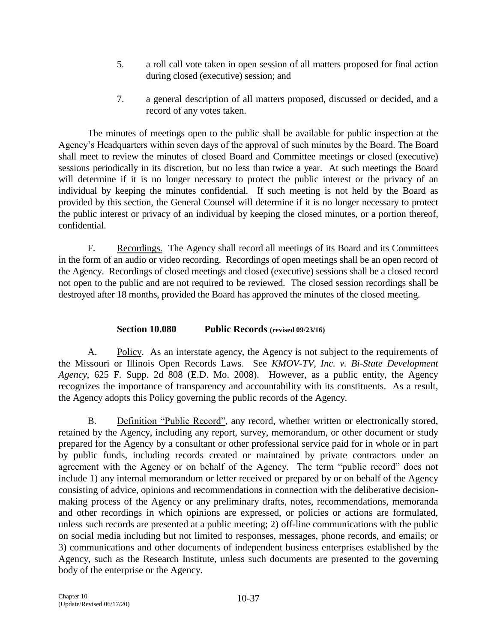- 5. a roll call vote taken in open session of all matters proposed for final action during closed (executive) session; and
- 7. a general description of all matters proposed, discussed or decided, and a record of any votes taken.

The minutes of meetings open to the public shall be available for public inspection at the Agency's Headquarters within seven days of the approval of such minutes by the Board. The Board shall meet to review the minutes of closed Board and Committee meetings or closed (executive) sessions periodically in its discretion, but no less than twice a year. At such meetings the Board will determine if it is no longer necessary to protect the public interest or the privacy of an individual by keeping the minutes confidential. If such meeting is not held by the Board as provided by this section, the General Counsel will determine if it is no longer necessary to protect the public interest or privacy of an individual by keeping the closed minutes, or a portion thereof, confidential.

F. Recordings. The Agency shall record all meetings of its Board and its Committees in the form of an audio or video recording. Recordings of open meetings shall be an open record of the Agency. Recordings of closed meetings and closed (executive) sessions shall be a closed record not open to the public and are not required to be reviewed. The closed session recordings shall be destroyed after 18 months, provided the Board has approved the minutes of the closed meeting.

# **Section 10.080 Public Records (revised 09/23/16)**

A. Policy. As an interstate agency, the Agency is not subject to the requirements of the Missouri or Illinois Open Records Laws. See *KMOV-TV, Inc. v. Bi-State Development Agency*, 625 F. Supp. 2d 808 (E.D. Mo. 2008). However, as a public entity, the Agency recognizes the importance of transparency and accountability with its constituents. As a result, the Agency adopts this Policy governing the public records of the Agency.

B. Definition "Public Record", any record, whether written or electronically stored, retained by the Agency, including any report, survey, memorandum, or other document or study prepared for the Agency by a consultant or other professional service paid for in whole or in part by public funds, including records created or maintained by private contractors under an agreement with the Agency or on behalf of the Agency. The term "public record" does not include 1) any internal memorandum or letter received or prepared by or on behalf of the Agency consisting of advice, opinions and recommendations in connection with the deliberative decisionmaking process of the Agency or any preliminary drafts, notes, recommendations, memoranda and other recordings in which opinions are expressed, or policies or actions are formulated, unless such records are presented at a public meeting; 2) off-line communications with the public on social media including but not limited to responses, messages, phone records, and emails; or 3) communications and other documents of independent business enterprises established by the Agency, such as the Research Institute, unless such documents are presented to the governing body of the enterprise or the Agency.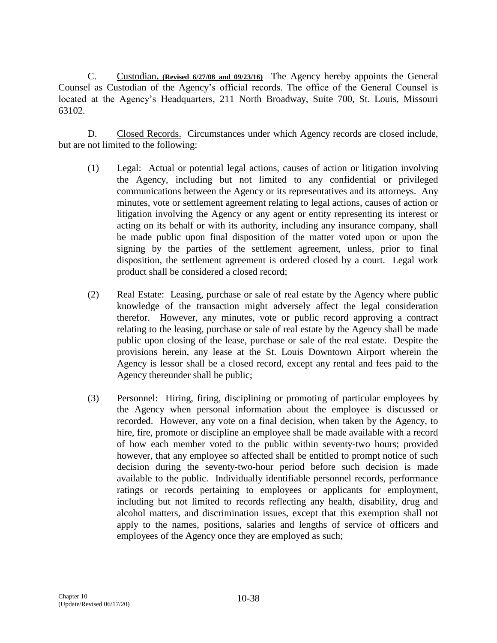C. Custodian**. (Revised 6/27/08 and 09/23/16)** The Agency hereby appoints the General Counsel as Custodian of the Agency's official records. The office of the General Counsel is located at the Agency's Headquarters, 211 North Broadway, Suite 700, St. Louis, Missouri 63102.

D. Closed Records. Circumstances under which Agency records are closed include, but are not limited to the following:

- (1) Legal: Actual or potential legal actions, causes of action or litigation involving the Agency, including but not limited to any confidential or privileged communications between the Agency or its representatives and its attorneys. Any minutes, vote or settlement agreement relating to legal actions, causes of action or litigation involving the Agency or any agent or entity representing its interest or acting on its behalf or with its authority, including any insurance company, shall be made public upon final disposition of the matter voted upon or upon the signing by the parties of the settlement agreement, unless, prior to final disposition, the settlement agreement is ordered closed by a court. Legal work product shall be considered a closed record;
- (2) Real Estate: Leasing, purchase or sale of real estate by the Agency where public knowledge of the transaction might adversely affect the legal consideration therefor. However, any minutes, vote or public record approving a contract relating to the leasing, purchase or sale of real estate by the Agency shall be made public upon closing of the lease, purchase or sale of the real estate. Despite the provisions herein, any lease at the St. Louis Downtown Airport wherein the Agency is lessor shall be a closed record, except any rental and fees paid to the Agency thereunder shall be public;
- (3) Personnel: Hiring, firing, disciplining or promoting of particular employees by the Agency when personal information about the employee is discussed or recorded. However, any vote on a final decision, when taken by the Agency, to hire, fire, promote or discipline an employee shall be made available with a record of how each member voted to the public within seventy-two hours; provided however, that any employee so affected shall be entitled to prompt notice of such decision during the seventy-two-hour period before such decision is made available to the public. Individually identifiable personnel records, performance ratings or records pertaining to employees or applicants for employment, including but not limited to records reflecting any health, disability, drug and alcohol matters, and discrimination issues, except that this exemption shall not apply to the names, positions, salaries and lengths of service of officers and employees of the Agency once they are employed as such;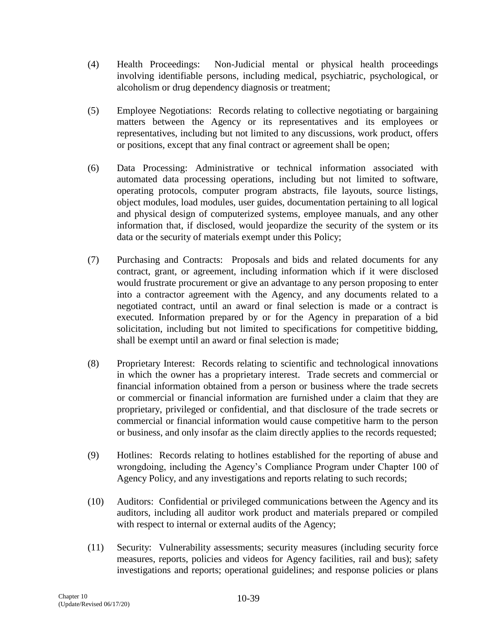- (4) Health Proceedings: Non-Judicial mental or physical health proceedings involving identifiable persons, including medical, psychiatric, psychological, or alcoholism or drug dependency diagnosis or treatment;
- (5) Employee Negotiations: Records relating to collective negotiating or bargaining matters between the Agency or its representatives and its employees or representatives, including but not limited to any discussions, work product, offers or positions, except that any final contract or agreement shall be open;
- (6) Data Processing: Administrative or technical information associated with automated data processing operations, including but not limited to software, operating protocols, computer program abstracts, file layouts, source listings, object modules, load modules, user guides, documentation pertaining to all logical and physical design of computerized systems, employee manuals, and any other information that, if disclosed, would jeopardize the security of the system or its data or the security of materials exempt under this Policy;
- (7) Purchasing and Contracts: Proposals and bids and related documents for any contract, grant, or agreement, including information which if it were disclosed would frustrate procurement or give an advantage to any person proposing to enter into a contractor agreement with the Agency, and any documents related to a negotiated contract, until an award or final selection is made or a contract is executed. Information prepared by or for the Agency in preparation of a bid solicitation, including but not limited to specifications for competitive bidding, shall be exempt until an award or final selection is made;
- (8) Proprietary Interest: Records relating to scientific and technological innovations in which the owner has a proprietary interest. Trade secrets and commercial or financial information obtained from a person or business where the trade secrets or commercial or financial information are furnished under a claim that they are proprietary, privileged or confidential, and that disclosure of the trade secrets or commercial or financial information would cause competitive harm to the person or business, and only insofar as the claim directly applies to the records requested;
- (9) Hotlines: Records relating to hotlines established for the reporting of abuse and wrongdoing, including the Agency's Compliance Program under Chapter 100 of Agency Policy, and any investigations and reports relating to such records;
- (10) Auditors: Confidential or privileged communications between the Agency and its auditors, including all auditor work product and materials prepared or compiled with respect to internal or external audits of the Agency;
- (11) Security: Vulnerability assessments; security measures (including security force measures, reports, policies and videos for Agency facilities, rail and bus); safety investigations and reports; operational guidelines; and response policies or plans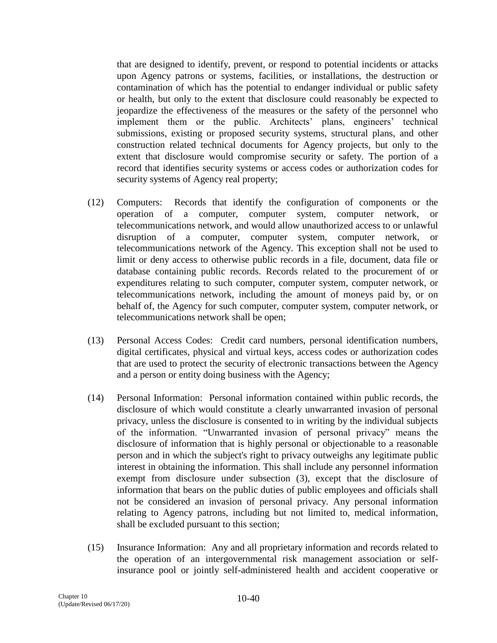that are designed to identify, prevent, or respond to potential incidents or attacks upon Agency patrons or systems, facilities, or installations, the destruction or contamination of which has the potential to endanger individual or public safety or health, but only to the extent that disclosure could reasonably be expected to jeopardize the effectiveness of the measures or the safety of the personnel who implement them or the public. Architects' plans, engineers' technical submissions, existing or proposed security systems, structural plans, and other construction related technical documents for Agency projects, but only to the extent that disclosure would compromise security or safety. The portion of a record that identifies security systems or access codes or authorization codes for security systems of Agency real property;

- (12) Computers: Records that identify the configuration of components or the operation of a computer, computer system, computer network, or telecommunications network, and would allow unauthorized access to or unlawful disruption of a computer, computer system, computer network, or telecommunications network of the Agency. This exception shall not be used to limit or deny access to otherwise public records in a file, document, data file or database containing public records. Records related to the procurement of or expenditures relating to such computer, computer system, computer network, or telecommunications network, including the amount of moneys paid by, or on behalf of, the Agency for such computer, computer system, computer network, or telecommunications network shall be open;
- (13) Personal Access Codes: Credit card numbers, personal identification numbers, digital certificates, physical and virtual keys, access codes or authorization codes that are used to protect the security of electronic transactions between the Agency and a person or entity doing business with the Agency;
- (14) Personal Information: Personal information contained within public records, the disclosure of which would constitute a clearly unwarranted invasion of personal privacy, unless the disclosure is consented to in writing by the individual subjects of the information. "Unwarranted invasion of personal privacy" means the disclosure of information that is highly personal or objectionable to a reasonable person and in which the subject's right to privacy outweighs any legitimate public interest in obtaining the information. This shall include any personnel information exempt from disclosure under subsection (3), except that the disclosure of information that bears on the public duties of public employees and officials shall not be considered an invasion of personal privacy. Any personal information relating to Agency patrons, including but not limited to, medical information, shall be excluded pursuant to this section;
- (15) Insurance Information: Any and all proprietary information and records related to the operation of an intergovernmental risk management association or selfinsurance pool or jointly self-administered health and accident cooperative or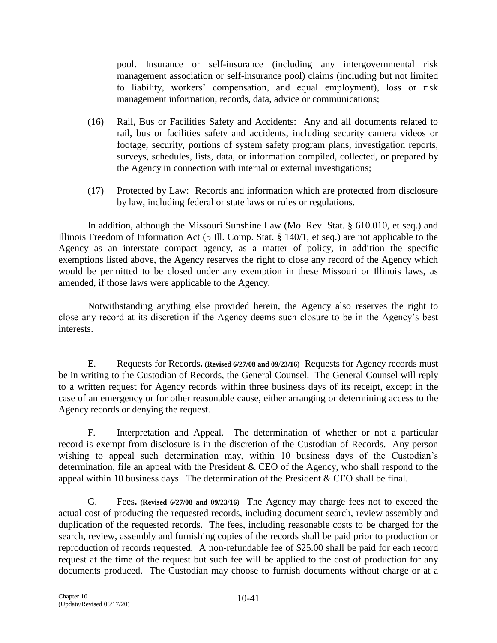pool. Insurance or self-insurance (including any intergovernmental risk management association or self-insurance pool) claims (including but not limited to liability, workers' compensation, and equal employment), loss or risk management information, records, data, advice or communications;

- (16) Rail, Bus or Facilities Safety and Accidents: Any and all documents related to rail, bus or facilities safety and accidents, including security camera videos or footage, security, portions of system safety program plans, investigation reports, surveys, schedules, lists, data, or information compiled, collected, or prepared by the Agency in connection with internal or external investigations;
- (17) Protected by Law: Records and information which are protected from disclosure by law, including federal or state laws or rules or regulations.

In addition, although the Missouri Sunshine Law (Mo. Rev. Stat. § 610.010, et seq.) and Illinois Freedom of Information Act (5 Ill. Comp. Stat. § 140/1, et seq.) are not applicable to the Agency as an interstate compact agency, as a matter of policy, in addition the specific exemptions listed above, the Agency reserves the right to close any record of the Agency which would be permitted to be closed under any exemption in these Missouri or Illinois laws, as amended, if those laws were applicable to the Agency.

Notwithstanding anything else provided herein, the Agency also reserves the right to close any record at its discretion if the Agency deems such closure to be in the Agency's best interests.

E. Requests for Records**. (Revised 6/27/08 and 09/23/16)** Requests for Agency records must be in writing to the Custodian of Records, the General Counsel. The General Counsel will reply to a written request for Agency records within three business days of its receipt, except in the case of an emergency or for other reasonable cause, either arranging or determining access to the Agency records or denying the request.

F. Interpretation and Appeal. The determination of whether or not a particular record is exempt from disclosure is in the discretion of the Custodian of Records. Any person wishing to appeal such determination may, within 10 business days of the Custodian's determination, file an appeal with the President & CEO of the Agency, who shall respond to the appeal within 10 business days. The determination of the President & CEO shall be final.

G. Fees**. (Revised 6/27/08 and 09/23/16)** The Agency may charge fees not to exceed the actual cost of producing the requested records, including document search, review assembly and duplication of the requested records. The fees, including reasonable costs to be charged for the search, review, assembly and furnishing copies of the records shall be paid prior to production or reproduction of records requested. A non-refundable fee of \$25.00 shall be paid for each record request at the time of the request but such fee will be applied to the cost of production for any documents produced. The Custodian may choose to furnish documents without charge or at a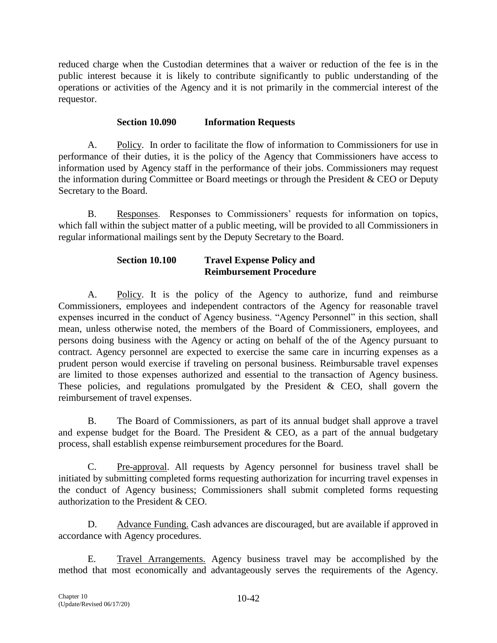reduced charge when the Custodian determines that a waiver or reduction of the fee is in the public interest because it is likely to contribute significantly to public understanding of the operations or activities of the Agency and it is not primarily in the commercial interest of the requestor.

# **Section 10.090 Information Requests**

A. Policy. In order to facilitate the flow of information to Commissioners for use in performance of their duties, it is the policy of the Agency that Commissioners have access to information used by Agency staff in the performance of their jobs. Commissioners may request the information during Committee or Board meetings or through the President & CEO or Deputy Secretary to the Board.

B. Responses. Responses to Commissioners' requests for information on topics, which fall within the subject matter of a public meeting, will be provided to all Commissioners in regular informational mailings sent by the Deputy Secretary to the Board.

# **Section 10.100 Travel Expense Policy and Reimbursement Procedure**

A. Policy. It is the policy of the Agency to authorize, fund and reimburse Commissioners, employees and independent contractors of the Agency for reasonable travel expenses incurred in the conduct of Agency business. "Agency Personnel" in this section, shall mean, unless otherwise noted, the members of the Board of Commissioners, employees, and persons doing business with the Agency or acting on behalf of the of the Agency pursuant to contract. Agency personnel are expected to exercise the same care in incurring expenses as a prudent person would exercise if traveling on personal business. Reimbursable travel expenses are limited to those expenses authorized and essential to the transaction of Agency business. These policies, and regulations promulgated by the President  $\&$  CEO, shall govern the reimbursement of travel expenses.

B. The Board of Commissioners, as part of its annual budget shall approve a travel and expense budget for the Board. The President & CEO, as a part of the annual budgetary process, shall establish expense reimbursement procedures for the Board.

C. Pre-approval. All requests by Agency personnel for business travel shall be initiated by submitting completed forms requesting authorization for incurring travel expenses in the conduct of Agency business; Commissioners shall submit completed forms requesting authorization to the President & CEO.

D. Advance Funding. Cash advances are discouraged, but are available if approved in accordance with Agency procedures.

E. Travel Arrangements. Agency business travel may be accomplished by the method that most economically and advantageously serves the requirements of the Agency.